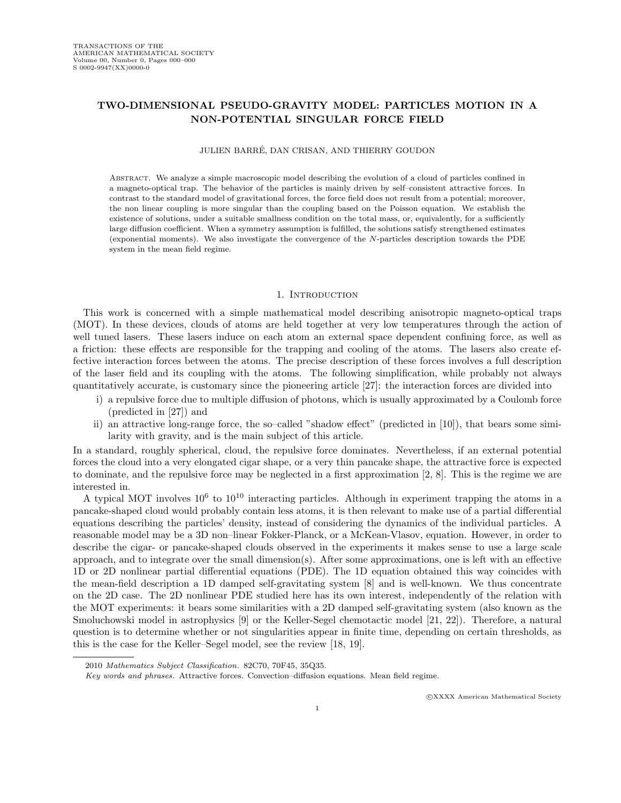# TWO-DIMENSIONAL PSEUDO-GRAVITY MODEL: PARTICLES MOTION IN A NON-POTENTIAL SINGULAR FORCE FIELD

#### JULIEN BARRE, DAN CRISAN, AND THIERRY GOUDON ´

Abstract. We analyze a simple macroscopic model describing the evolution of a cloud of particles confined in a magneto-optical trap. The behavior of the particles is mainly driven by self–consistent attractive forces. In contrast to the standard model of gravitational forces, the force field does not result from a potential; moreover, the non linear coupling is more singular than the coupling based on the Poisson equation. We establish the existence of solutions, under a suitable smallness condition on the total mass, or, equivalently, for a sufficiently large diffusion coefficient. When a symmetry assumption is fulfilled, the solutions satisfy strengthened estimates (exponential moments). We also investigate the convergence of the N-particles description towards the PDE system in the mean field regime.

#### 1. INTRODUCTION

This work is concerned with a simple mathematical model describing anisotropic magneto-optical traps (MOT). In these devices, clouds of atoms are held together at very low temperatures through the action of well tuned lasers. These lasers induce on each atom an external space dependent confining force, as well as a friction: these effects are responsible for the trapping and cooling of the atoms. The lasers also create effective interaction forces between the atoms. The precise description of these forces involves a full description of the laser field and its coupling with the atoms. The following simplification, while probably not always quantitatively accurate, is customary since the pioneering article [27]: the interaction forces are divided into

- i) a repulsive force due to multiple diffusion of photons, which is usually approximated by a Coulomb force (predicted in [27]) and
- ii) an attractive long-range force, the so–called "shadow effect" (predicted in [10]), that bears some similarity with gravity, and is the main subject of this article.

In a standard, roughly spherical, cloud, the repulsive force dominates. Nevertheless, if an external potential forces the cloud into a very elongated cigar shape, or a very thin pancake shape, the attractive force is expected to dominate, and the repulsive force may be neglected in a first approximation [2, 8]. This is the regime we are interested in.

A typical MOT involves  $10^6$  to  $10^{10}$  interacting particles. Although in experiment trapping the atoms in a pancake-shaped cloud would probably contain less atoms, it is then relevant to make use of a partial differential equations describing the particles' density, instead of considering the dynamics of the individual particles. A reasonable model may be a 3D non–linear Fokker-Planck, or a McKean-Vlasov, equation. However, in order to describe the cigar- or pancake-shaped clouds observed in the experiments it makes sense to use a large scale approach, and to integrate over the small dimension(s). After some approximations, one is left with an effective 1D or 2D nonlinear partial differential equations (PDE). The 1D equation obtained this way coincides with the mean-field description a 1D damped self-gravitating system [8] and is well-known. We thus concentrate on the 2D case. The 2D nonlinear PDE studied here has its own interest, independently of the relation with the MOT experiments: it bears some similarities with a 2D damped self-gravitating system (also known as the Smoluchowski model in astrophysics [9] or the Keller-Segel chemotactic model [21, 22]). Therefore, a natural question is to determine whether or not singularities appear in finite time, depending on certain thresholds, as this is the case for the Keller–Segel model, see the review [18, 19].

<sup>2010</sup> Mathematics Subject Classification. 82C70, 70F45, 35Q35.

Key words and phrases. Attractive forces. Convection–diffusion equations. Mean field regime.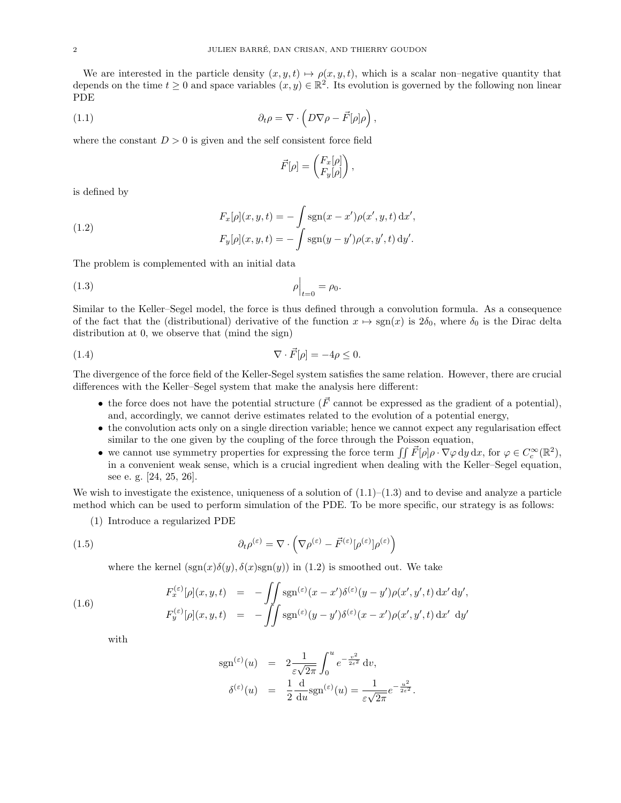We are interested in the particle density  $(x, y, t) \mapsto \rho(x, y, t)$ , which is a scalar non–negative quantity that depends on the time  $t \geq 0$  and space variables  $(x, y) \in \mathbb{R}^2$ . Its evolution is governed by the following non linear PDE

(1.1) 
$$
\partial_t \rho = \nabla \cdot \left( D \nabla \rho - \vec{F}[\rho] \rho \right),
$$

where the constant  $D > 0$  is given and the self consistent force field

$$
\vec{F}[\rho] = \begin{pmatrix} F_x[\rho] \\ F_y[\rho] \end{pmatrix},
$$

is defined by

(1.2) 
$$
F_x[\rho](x, y, t) = -\int \operatorname{sgn}(x - x')\rho(x', y, t) dx',
$$

$$
F_y[\rho](x, y, t) = -\int \operatorname{sgn}(y - y')\rho(x, y', t) dy'.
$$

The problem is complemented with an initial data

$$
\left. \rho \right|_{t=0} = \rho_0.
$$

Similar to the Keller–Segel model, the force is thus defined through a convolution formula. As a consequence of the fact that the (distributional) derivative of the function  $x \mapsto \text{sgn}(x)$  is  $2\delta_0$ , where  $\delta_0$  is the Dirac delta distribution at 0, we observe that (mind the sign)

(1.4) 
$$
\nabla \cdot \vec{F}[\rho] = -4\rho \leq 0.
$$

The divergence of the force field of the Keller-Segel system satisfies the same relation. However, there are crucial differences with the Keller–Segel system that make the analysis here different:

- the force does not have the potential structure ( $\vec{F}$  cannot be expressed as the gradient of a potential), and, accordingly, we cannot derive estimates related to the evolution of a potential energy,
- the convolution acts only on a single direction variable; hence we cannot expect any regularisation effect similar to the one given by the coupling of the force through the Poisson equation,
- we cannot use symmetry properties for expressing the force term  $\iint \vec{F}[\rho] \rho \cdot \nabla \varphi \, dy \, dx$ , for  $\varphi \in C_c^{\infty}(\mathbb{R}^2)$ , in a convenient weak sense, which is a crucial ingredient when dealing with the Keller–Segel equation, see e. g. [24, 25, 26].

We wish to investigate the existence, uniqueness of a solution of  $(1.1)$ – $(1.3)$  and to devise and analyze a particle method which can be used to perform simulation of the PDE. To be more specific, our strategy is as follows:

(1) Introduce a regularized PDE

(1.5) 
$$
\partial_t \rho^{(\varepsilon)} = \nabla \cdot \left( \nabla \rho^{(\varepsilon)} - \vec{F}^{(\varepsilon)} [\rho^{(\varepsilon)}] \rho^{(\varepsilon)} \right)
$$

where the kernel  $(\text{sgn}(x)\delta(y), \delta(x)\text{sgn}(y))$  in (1.2) is smoothed out. We take

(1.6) 
$$
F_x^{(\varepsilon)}[\rho](x, y, t) = -\iint \operatorname{sgn}^{(\varepsilon)}(x - x')\delta^{(\varepsilon)}(y - y')\rho(x', y', t) dx' dy',
$$

$$
F_y^{(\varepsilon)}[\rho](x, y, t) = -\iint \operatorname{sgn}^{(\varepsilon)}(y - y')\delta^{(\varepsilon)}(x - x')\rho(x', y', t) dx' dy'
$$

with

$$
sgn^{(\varepsilon)}(u) = 2 \frac{1}{\varepsilon \sqrt{2\pi}} \int_0^u e^{-\frac{v^2}{2\varepsilon^2}} dv,
$$
  

$$
\delta^{(\varepsilon)}(u) = \frac{1}{2} \frac{d}{du} sgn^{(\varepsilon)}(u) = \frac{1}{\varepsilon \sqrt{2\pi}} e^{-\frac{u^2}{2\varepsilon^2}}.
$$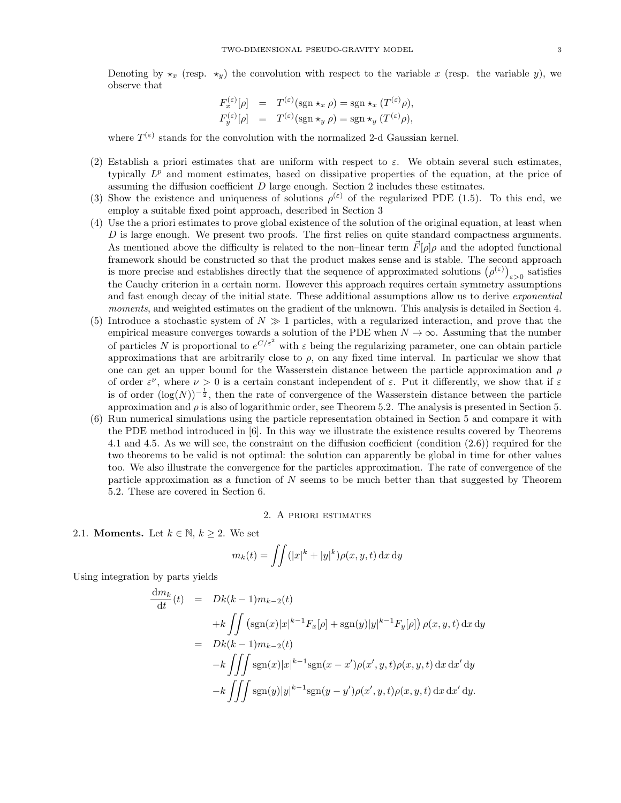Denoting by  $\star_x$  (resp.  $\star_y$ ) the convolution with respect to the variable x (resp. the variable y), we observe that

$$
F_x^{(\varepsilon)}[\rho] = T^{(\varepsilon)}(\text{sgn} \star_x \rho) = \text{sgn} \star_x (T^{(\varepsilon)} \rho),
$$
  

$$
F_y^{(\varepsilon)}[\rho] = T^{(\varepsilon)}(\text{sgn} \star_y \rho) = \text{sgn} \star_y (T^{(\varepsilon)} \rho),
$$

where  $T^{(\varepsilon)}$  stands for the convolution with the normalized 2-d Gaussian kernel.

- (2) Establish a priori estimates that are uniform with respect to  $\varepsilon$ . We obtain several such estimates, typically  $L^p$  and moment estimates, based on dissipative properties of the equation, at the price of assuming the diffusion coefficient  $D$  large enough. Section 2 includes these estimates.
- (3) Show the existence and uniqueness of solutions  $\rho^{(\varepsilon)}$  of the regularized PDE (1.5). To this end, we employ a suitable fixed point approach, described in Section 3
- (4) Use the a priori estimates to prove global existence of the solution of the original equation, at least when D is large enough. We present two proofs. The first relies on quite standard compactness arguments. As mentioned above the difficulty is related to the non–linear term  $\vec{F}[\rho]\rho$  and the adopted functional framework should be constructed so that the product makes sense and is stable. The second approach is more precise and establishes directly that the sequence of approximated solutions  $(\rho^{(\varepsilon)})_{\varepsilon>0}$  satisfies the Cauchy criterion in a certain norm. However this approach requires certain symmetry assumptions and fast enough decay of the initial state. These additional assumptions allow us to derive *exponential* moments, and weighted estimates on the gradient of the unknown. This analysis is detailed in Section 4.
- Introduce a stochastic system of  $N \gg 1$  particles, with a regularized interaction, and prove that the empirical measure converges towards a solution of the PDE when  $N \to \infty$ . Assuming that the number of particles N is proportional to  $e^{C/\varepsilon^2}$  with  $\varepsilon$  being the regularizing parameter, one can obtain particle approximations that are arbitrarily close to  $\rho$ , on any fixed time interval. In particular we show that one can get an upper bound for the Wasserstein distance between the particle approximation and  $\rho$ of order  $\varepsilon^{\nu}$ , where  $\nu > 0$  is a certain constant independent of  $\varepsilon$ . Put it differently, we show that if  $\varepsilon$ is of order  $(\log(N))^{-\frac{1}{2}}$ , then the rate of convergence of the Wasserstein distance between the particle approximation and  $\rho$  is also of logarithmic order, see Theorem 5.2. The analysis is presented in Section 5.
- (6) Run numerical simulations using the particle representation obtained in Section 5 and compare it with the PDE method introduced in [6]. In this way we illustrate the existence results covered by Theorems 4.1 and 4.5. As we will see, the constraint on the diffusion coefficient (condition (2.6)) required for the two theorems to be valid is not optimal: the solution can apparently be global in time for other values too. We also illustrate the convergence for the particles approximation. The rate of convergence of the particle approximation as a function of  $N$  seems to be much better than that suggested by Theorem 5.2. These are covered in Section 6.

### 2. A priori estimates

2.1. **Moments.** Let  $k \in \mathbb{N}$ ,  $k \geq 2$ . We set

$$
m_k(t) = \iint (|x|^k + |y|^k) \rho(x, y, t) \,dx \,dy
$$

Using integration by parts yields

$$
\frac{dm_k}{dt}(t) = Dk(k-1)m_{k-2}(t)
$$
\n
$$
+ k \iint (sgn(x)|x|^{k-1}F_x[\rho] + sgn(y)|y|^{k-1}F_y[\rho]) \rho(x, y, t) dx dy
$$
\n
$$
= Dk(k-1)m_{k-2}(t)
$$
\n
$$
- k \iiint sgn(x)|x|^{k-1}sgn(x-x')\rho(x', y, t)\rho(x, y, t) dx dx' dy
$$
\n
$$
- k \iiint sgn(y)|y|^{k-1}sgn(y-y')\rho(x', y, t)\rho(x, y, t) dx dx' dy.
$$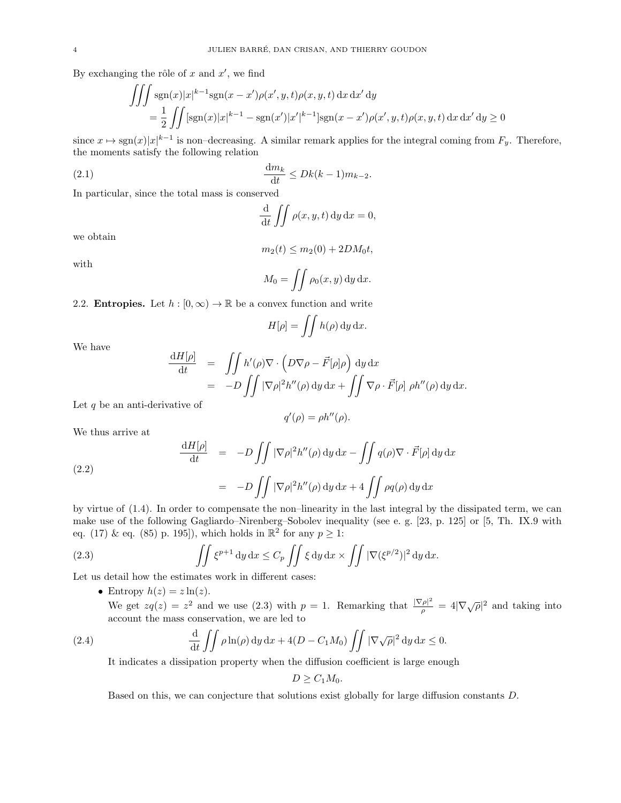By exchanging the rôle of  $x$  and  $x'$ , we find

$$
\iiint \operatorname{sgn}(x)|x|^{k-1}\operatorname{sgn}(x-x')\rho(x',y,t)\rho(x,y,t) dx dx' dy
$$
  
=  $\frac{1}{2} \iint [\operatorname{sgn}(x)|x|^{k-1} - \operatorname{sgn}(x')|x'|^{k-1}]\operatorname{sgn}(x-x')\rho(x',y,t)\rho(x,y,t) dx dx' dy \ge 0$ 

since  $x \mapsto \text{sgn}(x)|x|^{k-1}$  is non-decreasing. A similar remark applies for the integral coming from  $F_y$ . Therefore, the moments satisfy the following relation

$$
\frac{\mathrm{d}m_k}{\mathrm{d}t} \le Dk(k-1)m_{k-2}.
$$

In particular, since the total mass is conserved

$$
\frac{\mathrm{d}}{\mathrm{d}t} \iint \rho(x, y, t) \, \mathrm{d}y \, \mathrm{d}x = 0,
$$

we obtain

$$
m_2(t) \le m_2(0) + 2DM_0 t,
$$

with

$$
M_0 = \iint \rho_0(x, y) \, dy \, dx.
$$

2.2. **Entropies.** Let  $h : [0, \infty) \to \mathbb{R}$  be a convex function and write

$$
H[\rho] = \iint h(\rho) \, \mathrm{d}y \, \mathrm{d}x.
$$

We have

$$
\frac{dH[\rho]}{dt} = \iint h'(\rho)\nabla \cdot \left(D\nabla \rho - \vec{F}[\rho]\rho\right) dy dx
$$
  
= -D  $\iint |\nabla \rho|^2 h''(\rho) dy dx + \iint \nabla \rho \cdot \vec{F}[\rho] \rho h''(\rho) dy dx.$ 

Let  $q$  be an anti-derivative of

$$
q'(\rho) = \rho h''(\rho).
$$

We thus arrive at

(2.2)  
\n
$$
\frac{dH[\rho]}{dt} = -D \iint |\nabla \rho|^2 h''(\rho) dy dx - \iint q(\rho) \nabla \cdot \vec{F}[\rho] dy dx
$$
\n
$$
= -D \iint |\nabla \rho|^2 h''(\rho) dy dx + 4 \iint \rho q(\rho) dy dx
$$

by virtue of (1.4). In order to compensate the non–linearity in the last integral by the dissipated term, we can make use of the following Gagliardo–Nirenberg–Sobolev inequality (see e. g. [23, p. 125] or [5, Th. IX.9 with eq. (17) & eq. (85) p. 195]), which holds in  $\mathbb{R}^2$  for any  $p \geq 1$ :

(2.3) 
$$
\iint \xi^{p+1} dy dx \leq C_p \iint \xi dy dx \times \iint |\nabla (\xi^{p/2})|^2 dy dx.
$$

Let us detail how the estimates work in different cases:

• Entropy  $h(z) = z \ln(z)$ .

We get  $zq(z) = z^2$  and we use (2.3) with  $p = 1$ . Remarking that  $\frac{|\nabla \rho|^2}{q}$  $\frac{d^2 \rho^2}{\rho} = 4|\nabla \sqrt{\rho}|^2$  and taking into account the mass conservation, we are led to

(2.4) 
$$
\frac{\mathrm{d}}{\mathrm{d}t} \iint \rho \ln(\rho) \, \mathrm{d}y \, \mathrm{d}x + 4(D - C_1 M_0) \iint |\nabla \sqrt{\rho}|^2 \, \mathrm{d}y \, \mathrm{d}x \le 0.
$$

It indicates a dissipation property when the diffusion coefficient is large enough

$$
D\geq C_1M_0.
$$

Based on this, we can conjecture that solutions exist globally for large diffusion constants D.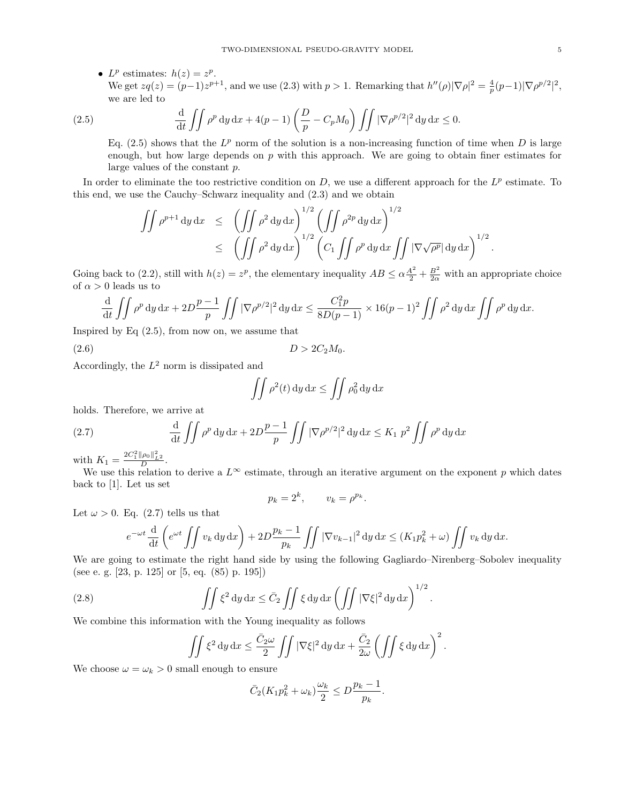• L<sup>p</sup> estimates:  $h(z) = z^p$ . We get  $zq(z) = (p-1)z^{p+1}$ , and we use (2.3) with  $p > 1$ . Remarking that  $h''(\rho) |\nabla \rho|^2 = \frac{4}{p}(p-1)|\nabla \rho^{p/2}|^2$ , we are led to

(2.5) 
$$
\frac{\mathrm{d}}{\mathrm{d}t} \iint \rho^p \, \mathrm{d}y \, \mathrm{d}x + 4(p-1) \left( \frac{D}{p} - C_p M_0 \right) \iint |\nabla \rho^{p/2}|^2 \, \mathrm{d}y \, \mathrm{d}x \le 0.
$$

Eq. (2.5) shows that the  $L^p$  norm of the solution is a non-increasing function of time when D is large enough, but how large depends on  $p$  with this approach. We are going to obtain finer estimates for large values of the constant p.

In order to eliminate the too restrictive condition on  $D$ , we use a different approach for the  $L^p$  estimate. To this end, we use the Cauchy–Schwarz inequality and (2.3) and we obtain

$$
\iint \rho^{p+1} dy dx \le \left( \iint \rho^2 dy dx \right)^{1/2} \left( \iint \rho^{2p} dy dx \right)^{1/2} \le \left( \iint \rho^2 dy dx \right)^{1/2} \left( C_1 \iint \rho^p dy dx \iint |\nabla \sqrt{\rho^p}| dy dx \right)^{1/2}
$$

Going back to (2.2), still with  $h(z) = z^p$ , the elementary inequality  $AB \le \alpha \frac{A^2}{2} + \frac{B^2}{2\alpha}$  with an appropriate choice of  $\alpha > 0$  leads us to

$$
\frac{\mathrm{d}}{\mathrm{d}t} \iint \rho^p \, \mathrm{d}y \, \mathrm{d}x + 2D \frac{p-1}{p} \iint |\nabla \rho^{p/2}|^2 \, \mathrm{d}y \, \mathrm{d}x \le \frac{C_1^2 p}{8D(p-1)} \times 16(p-1)^2 \iint \rho^2 \, \mathrm{d}y \, \mathrm{d}x \iint \rho^p \, \mathrm{d}y \, \mathrm{d}x.
$$

 $D > 2C_2M_0$ .

Inspired by Eq  $(2.5)$ , from now on, we assume that

$$
(2.6)
$$

Accordingly, the  $L^2$  norm is dissipated and

$$
\iint \rho^2(t) \, \mathrm{d}y \, \mathrm{d}x \le \iint \rho_0^2 \, \mathrm{d}y \, \mathrm{d}x
$$

holds. Therefore, we arrive at

(2.7) 
$$
\frac{d}{dt} \iint \rho^p dy dx + 2D \frac{p-1}{p} \iint |\nabla \rho^{p/2}|^2 dy dx \le K_1 p^2 \iint \rho^p dy dx
$$

with  $K_1 = \frac{2C_1^2 \|\rho_0\|_{L^2}^2}{D}$ .

We use this relation to derive a  $L^{\infty}$  estimate, through an iterative argument on the exponent p which dates back to [1]. Let us set

$$
p_k = 2^k, \qquad v_k = \rho^{p_k}
$$

.

Let  $\omega > 0$ . Eq. (2.7) tells us that

$$
e^{-\omega t} \frac{\mathrm{d}}{\mathrm{d}t} \left( e^{\omega t} \iint v_k \, \mathrm{d}y \, \mathrm{d}x \right) + 2D \frac{p_k - 1}{p_k} \iint |\nabla v_{k-1}|^2 \, \mathrm{d}y \, \mathrm{d}x \le (K_1 p_k^2 + \omega) \iint v_k \, \mathrm{d}y \, \mathrm{d}x.
$$

We are going to estimate the right hand side by using the following Gagliardo–Nirenberg–Sobolev inequality (see e. g. [23, p. 125] or [5, eq. (85) p. 195])

(2.8) 
$$
\iint \xi^2 dy dx \leq \bar{C}_2 \iint \xi dy dx \left( \iint |\nabla \xi|^2 dy dx \right)^{1/2}.
$$

We combine this information with the Young inequality as follows

$$
\iint \xi^2 dy dx \le \frac{\bar{C}_2 \omega}{2} \iint |\nabla \xi|^2 dy dx + \frac{\bar{C}_2}{2\omega} \left( \iint \xi dy dx \right)^2.
$$

We choose  $\omega = \omega_k > 0$  small enough to ensure

$$
\bar{C}_2(K_1 p_k^2 + \omega_k) \frac{\omega_k}{2} \le D \frac{p_k - 1}{p_k}.
$$

.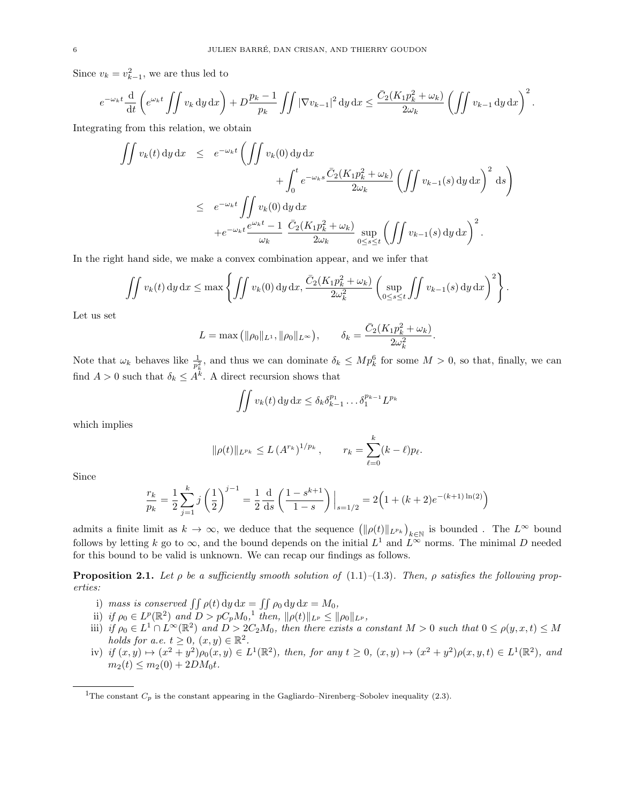Since  $v_k = v_{k-1}^2$ , we are thus led to

$$
e^{-\omega_k t} \frac{\mathrm{d}}{\mathrm{d}t} \left( e^{\omega_k t} \iint v_k \, \mathrm{d}y \, \mathrm{d}x \right) + D \frac{p_k - 1}{p_k} \iint |\nabla v_{k-1}|^2 \, \mathrm{d}y \, \mathrm{d}x \le \frac{\bar{C}_2(K_1 p_k^2 + \omega_k)}{2\omega_k} \left( \iint v_{k-1} \, \mathrm{d}y \, \mathrm{d}x \right)^2.
$$

Integrating from this relation, we obtain

$$
\iint v_k(t) dy dx \le e^{-\omega_k t} \left( \iint v_k(0) dy dx + \int_0^t e^{-\omega_k s} \frac{\bar{C}_2(K_1 p_k^2 + \omega_k)}{2\omega_k} \left( \iint v_{k-1}(s) dy dx \right)^2 ds \right)
$$
  

$$
\le e^{-\omega_k t} \iint v_k(0) dy dx + e^{-\omega_k t} \frac{e^{\omega_k t} - 1}{\omega_k} \frac{\bar{C}_2(K_1 p_k^2 + \omega_k)}{2\omega_k} \sup_{0 \le s \le t} \left( \iint v_{k-1}(s) dy dx \right)^2.
$$

In the right hand side, we make a convex combination appear, and we infer that

$$
\iint v_k(t) dy dx \le \max \left\{ \iint v_k(0) dy dx, \frac{\bar{C}_2(K_1 p_k^2 + \omega_k)}{2\omega_k^2} \left( \sup_{0 \le s \le t} \iint v_{k-1}(s) dy dx \right)^2 \right\}.
$$

Let us set

$$
L = \max ( \| \rho_0 \|_{L^1}, \| \rho_0 \|_{L^\infty}), \qquad \delta_k = \frac{\bar{C}_2 (K_1 p_k^2 + \omega_k)}{2 \omega_k^2}
$$

.

Note that  $\omega_k$  behaves like  $\frac{1}{p_k^2}$ , and thus we can dominate  $\delta_k \leq Mp_k^6$  for some  $M > 0$ , so that, finally, we can find  $A > 0$  such that  $\delta_k \leq A^k$ . A direct recursion shows that

$$
\iint v_k(t) \, \mathrm{d}y \, \mathrm{d}x \le \delta_k \delta_{k-1}^{p_1} \dots \delta_1^{p_{k-1}} L^{p_k}
$$

which implies

$$
\|\rho(t)\|_{L^{p_k}} \le L\left(A^{r_k}\right)^{1/p_k}, \qquad r_k = \sum_{\ell=0}^k (k-\ell)p_\ell.
$$

Since

$$
\frac{r_k}{p_k} = \frac{1}{2} \sum_{j=1}^k j \left(\frac{1}{2}\right)^{j-1} = \frac{1}{2} \frac{d}{ds} \left(\frac{1-s^{k+1}}{1-s}\right) \Big|_{s=1/2} = 2\left(1 + (k+2)e^{-(k+1)\ln(2)}\right)
$$

admits a finite limit as  $k \to \infty$ , we deduce that the sequence  $(\|\rho(t)\|_{L^{p_k}})_{k\in\mathbb{N}}$  is bounded. The  $L^{\infty}$  bound follows by letting k go to  $\infty$ , and the bound depends on the initial  $L^1$  and  $L^{\infty}$  norms. The minimal D needed for this bound to be valid is unknown. We can recap our findings as follows.

**Proposition 2.1.** Let  $\rho$  be a sufficiently smooth solution of (1.1)–(1.3). Then,  $\rho$  satisfies the following properties:

- i) mass is conserved  $\iint \rho(t) dy dx = \iint \rho_0 dy dx = M_0$ ,
- ii) if  $\rho_0 \in L^p(\mathbb{R}^2)$  and  $D > pC_p M_0$ , then,  $\|\rho(t)\|_{L^p} \le \|\rho_0\|_{L^p}$ ,
- iii) if  $\rho_0 \in L^1 \cap L^{\infty}(\mathbb{R}^2)$  and  $D > 2C_2M_0$ , then there exists a constant  $M > 0$  such that  $0 \le \rho(y, x, t) \le M$ holds for a.e.  $t \geq 0$ ,  $(x, y) \in \mathbb{R}^2$ .
- iv) if  $(x, y) \mapsto (x^2 + y^2)\rho_0(x, y) \in L^1(\mathbb{R}^2)$ , then, for any  $t \geq 0$ ,  $(x, y) \mapsto (x^2 + y^2)\rho(x, y, t) \in L^1(\mathbb{R}^2)$ , and  $m_2(t) \leq m_2(0) + 2DM_0t$ .

<sup>&</sup>lt;sup>1</sup>The constant  $C_p$  is the constant appearing in the Gagliardo–Nirenberg–Sobolev inequality (2.3).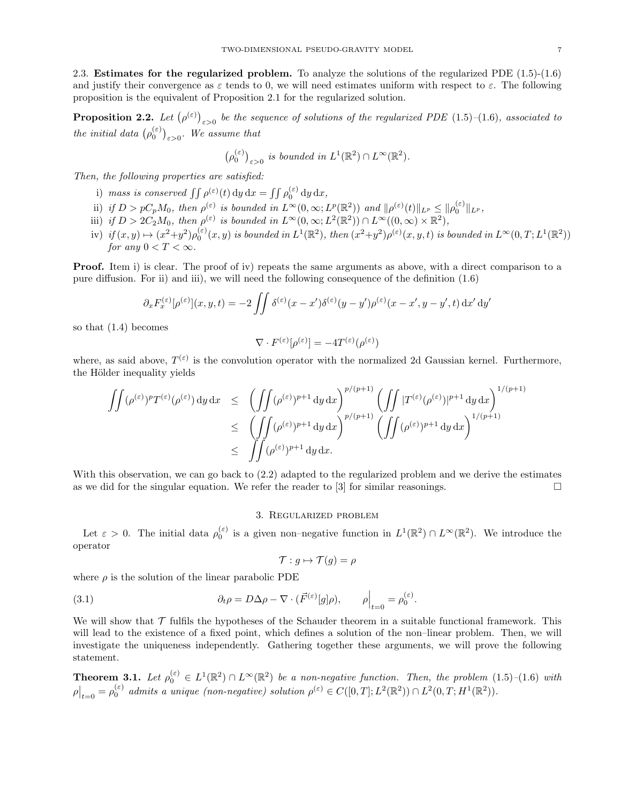2.3. Estimates for the regularized problem. To analyze the solutions of the regularized PDE (1.5)-(1.6) and justify their convergence as  $\varepsilon$  tends to 0, we will need estimates uniform with respect to  $\varepsilon$ . The following proposition is the equivalent of Proposition 2.1 for the regularized solution.

**Proposition 2.2.** Let  $(\rho^{(\varepsilon)})_{\varepsilon>0}$  be the sequence of solutions of the regularized PDE (1.5)–(1.6), associated to the initial data  $(\rho_0^{(\varepsilon)})_{\varepsilon>0}$ . We assume that

$$
(\rho_0^{(\varepsilon)})_{\varepsilon>0} \text{ is bounded in } L^1(\mathbb{R}^2) \cap L^\infty(\mathbb{R}^2).
$$

Then, the following properties are satisfied:

- i) mass is conserved  $\iint \rho^{(\varepsilon)}(t) dy dx = \iint \rho_0^{(\varepsilon)} dy dx$ ,
- ii) if  $D > pC_pM_0$ , then  $\rho^{(\varepsilon)}$  is bounded in  $L^{\infty}(0,\infty; L^p(\mathbb{R}^2))$  and  $\|\rho^{(\varepsilon)}(t)\|_{L^p} \leq \|\rho_0^{(\varepsilon)}\|_{L^p}$ ,
- iii) if  $D > 2C_2M_0$ , then  $\rho^{(\varepsilon)}$  is bounded in  $L^{\infty}(0,\infty; L^2(\mathbb{R}^2)) \cap L^{\infty}((0,\infty) \times \mathbb{R}^2)$ ,
- iv) if  $(x, y) \mapsto (x^2+y^2)\rho_0^{(\varepsilon)}(x, y)$  is bounded in  $L^1(\mathbb{R}^2)$ , then  $(x^2+y^2)\rho^{(\varepsilon)}(x, y, t)$  is bounded in  $L^{\infty}(0, T; L^1(\mathbb{R}^2))$ for any  $0 < T < \infty$ .

**Proof.** Item i) is clear. The proof of iv) repeats the same arguments as above, with a direct comparison to a pure diffusion. For ii) and iii), we will need the following consequence of the definition (1.6)

$$
\partial_x F_x^{(\varepsilon)}[\rho^{(\varepsilon)}](x, y, t) = -2 \iint \delta^{(\varepsilon)}(x - x') \delta^{(\varepsilon)}(y - y') \rho^{(\varepsilon)}(x - x', y - y', t) dx' dy'
$$

so that (1.4) becomes

$$
\nabla \cdot F^{(\varepsilon)}[\rho^{(\varepsilon)}] = -4T^{(\varepsilon)}(\rho^{(\varepsilon)})
$$

where, as said above,  $T^{(\varepsilon)}$  is the convolution operator with the normalized 2d Gaussian kernel. Furthermore, the Hölder inequality yields

$$
\iint (\rho^{(\varepsilon)})^p T^{(\varepsilon)}(\rho^{(\varepsilon)}) \, dy \, dx \le \left( \iint (\rho^{(\varepsilon)})^{p+1} \, dy \, dx \right)^{p/(p+1)} \left( \iint |T^{(\varepsilon)}(\rho^{(\varepsilon)})|^{p+1} \, dy \, dx \right)^{1/(p+1)} \le \left( \iint (\rho^{(\varepsilon)})^{p+1} \, dy \, dx \right)^{p/(p+1)} \left( \iint (\rho^{(\varepsilon)})^{p+1} \, dy \, dx \right)^{1/(p+1)} \le \int \int (\rho^{(\varepsilon)})^{p+1} \, dy \, dx.
$$

With this observation, we can go back to (2.2) adapted to the regularized problem and we derive the estimates as we did for the singular equation. We refer the reader to [3] for similar reasonings.  $\square$ 

### 3. Regularized problem

Let  $\varepsilon > 0$ . The initial data  $\rho_0^{(\varepsilon)}$  is a given non-negative function in  $L^1(\mathbb{R}^2) \cap L^\infty(\mathbb{R}^2)$ . We introduce the operator

$$
\mathcal{T}: g \mapsto \mathcal{T}(g) = \rho
$$

where  $\rho$  is the solution of the linear parabolic PDE

(3.1) 
$$
\partial_t \rho = D \Delta \rho - \nabla \cdot (\vec{F}^{(\varepsilon)}[g] \rho), \qquad \rho \Big|_{t=0} = \rho_0^{(\varepsilon)}.
$$

We will show that  $\mathcal T$  fulfils the hypotheses of the Schauder theorem in a suitable functional framework. This will lead to the existence of a fixed point, which defines a solution of the non–linear problem. Then, we will investigate the uniqueness independently. Gathering together these arguments, we will prove the following statement.

**Theorem 3.1.** Let  $\rho_0^{(\varepsilon)} \in L^1(\mathbb{R}^2) \cap L^{\infty}(\mathbb{R}^2)$  be a non-negative function. Then, the problem  $(1.5)-(1.6)$  with  $\rho|_{t=0} = \rho_0^{(\varepsilon)}$  admits a unique (non-negative) solution  $\rho^{(\varepsilon)} \in C([0,T]; L^2(\mathbb{R}^2)) \cap L^2(0,T; H^1(\mathbb{R}^2)).$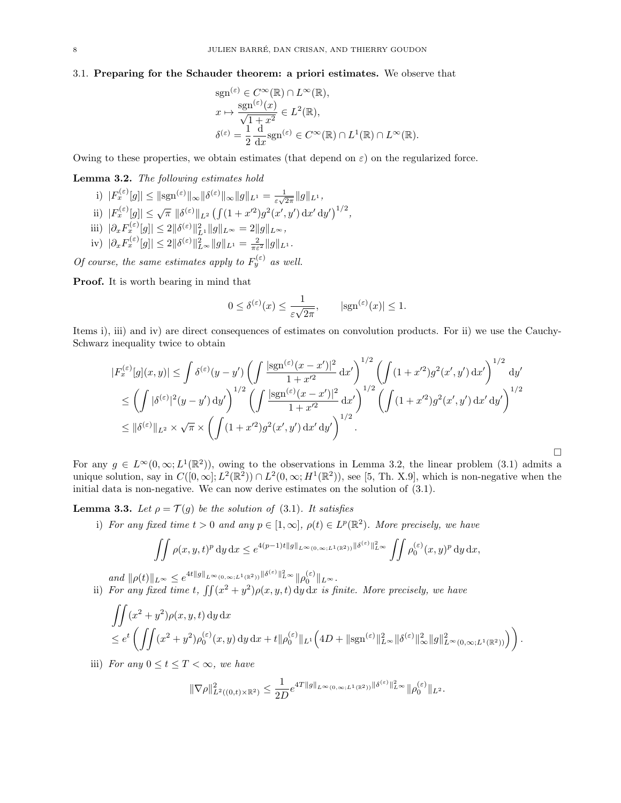#### 3.1. Preparing for the Schauder theorem: a priori estimates. We observe that

$$
sgn^{(\varepsilon)} \in C^{\infty}(\mathbb{R}) \cap L^{\infty}(\mathbb{R}),
$$
  
\n
$$
x \mapsto \frac{sgn^{(\varepsilon)}(x)}{\sqrt{1+x^2}} \in L^2(\mathbb{R}),
$$
  
\n
$$
\delta^{(\varepsilon)} = \frac{1}{2} \frac{d}{dx} sgn^{(\varepsilon)} \in C^{\infty}(\mathbb{R}) \cap L^1(\mathbb{R}) \cap L^{\infty}(\mathbb{R}).
$$

Owing to these properties, we obtain estimates (that depend on  $\varepsilon$ ) on the regularized force.

### Lemma 3.2. The following estimates hold

- i)  $|F_x^{(\varepsilon)}[g]| \leq ||sgn^{(\varepsilon)}||_{\infty} ||\delta^{(\varepsilon)}||_{\infty} ||g||_{L^1} = \frac{1}{\varepsilon \sqrt{\varepsilon}}$  $\frac{1}{\varepsilon\sqrt{2\pi}}\|g\|_{L^1},$
- ii)  $|F_x^{(\varepsilon)}[g]|\leq \sqrt{\pi} \, \|\delta^{(\varepsilon)}\|_{L^2} \left(\int (1+x'^2)g^2(x',y')\,\mathrm{d}x'\,\mathrm{d}y'\right)^{1/2},$
- iii)  $|\partial_x F_x^{(\varepsilon)}[g]| \leq 2 ||\delta^{(\varepsilon)}||^2_{L^1} ||g||_{L^{\infty}} = 2 ||g||_{L^{\infty}},$
- iv)  $|\partial_x F_x^{(\varepsilon)}[g]| \leq 2 ||\delta^{(\varepsilon)}||_{L^{\infty}}^2 ||g||_{L^1} = \frac{2}{\pi \varepsilon^2} ||g||_{L^1}.$

Of course, the same estimates apply to  $F_y^{(\varepsilon)}$  as well.

Proof. It is worth bearing in mind that

$$
0 \leq \delta^{(\varepsilon)}(x) \leq \frac{1}{\varepsilon\sqrt{2\pi}}, \qquad |\text{sgn}^{(\varepsilon)}(x)| \leq 1.
$$

Items i), iii) and iv) are direct consequences of estimates on convolution products. For ii) we use the Cauchy-Schwarz inequality twice to obtain

$$
|F_x^{(\varepsilon)}[g](x,y)| \le \int \delta^{(\varepsilon)}(y-y') \left( \int \frac{|\text{sgn}^{(\varepsilon)}(x-x')|^2}{1+x'^2} dx' \right)^{1/2} \left( \int (1+x'^2)g^2(x',y') dx' \right)^{1/2} dy' \n\le \left( \int |\delta^{(\varepsilon)}|^2(y-y') dy' \right)^{1/2} \left( \int \frac{|\text{sgn}^{(\varepsilon)}(x-x')|^2}{1+x'^2} dx' \right)^{1/2} \left( \int (1+x'^2)g^2(x',y') dx' dy' \right)^{1/2} \n\le \|\delta^{(\varepsilon)}\|_{L^2} \times \sqrt{\pi} \times \left( \int (1+x'^2)g^2(x',y') dx' dy' \right)^{1/2}.
$$

For any  $g \in L^{\infty}(0,\infty; L^{1}(\mathbb{R}^{2}))$ , owing to the observations in Lemma 3.2, the linear problem (3.1) admits a unique solution, say in  $C([0,\infty]; L^2(\mathbb{R}^2)) \cap L^2(0,\infty; H^1(\mathbb{R}^2))$ , see [5, Th. X.9], which is non-negative when the initial data is non-negative. We can now derive estimates on the solution of (3.1).

 $\Box$ 

**Lemma 3.3.** Let  $\rho = \mathcal{T}(q)$  be the solution of (3.1). It satisfies

i) For any fixed time  $t > 0$  and any  $p \in [1, \infty]$ ,  $\rho(t) \in L^p(\mathbb{R}^2)$ . More precisely, we have

$$
\iint \rho(x,y,t)^p dy dx \le e^{4(p-1)t||g||_{L^{\infty}(0,\infty;L^1(\mathbb{R}^2))}||\delta^{(\varepsilon)}||_{L^{\infty}}^2} \iint \rho_0^{(\varepsilon)}(x,y)^p dy dx,
$$

and  $\|\rho(t)\|_{L^{\infty}} \leq e^{4t||g||_{L^{\infty}(0,\infty;L^{1}(\mathbb{R}^2))}\|\delta^{(\varepsilon)}\|_{L^{\infty}}^{2}}\|\rho_{0}^{(\varepsilon)}\|_{L^{\infty}}.$ ii) For any fixed time t,  $\iint (x^2 + y^2) \rho(x, y, t) dy dx$  is finite. More precisely, we have

$$
\iint (x^2 + y^2) \rho(x, y, t) dy dx
$$
  
\n
$$
\leq e^t \left( \iint (x^2 + y^2) \rho_0^{(\varepsilon)}(x, y) dy dx + t \|\rho_0^{(\varepsilon)}\|_{L^1} \left( 4D + \|\text{sgn}^{(\varepsilon)}\|_{L^\infty}^2 \|\delta^{(\varepsilon)}\|_{\infty}^2 \|g\|_{L^\infty(0, \infty; L^1(\mathbb{R}^2))}^2 \right) \right).
$$

iii) For any  $0 \le t \le T < \infty$ , we have

$$
\|\nabla\rho\|^2_{L^2((0,t)\times \mathbb{R}^2)}\leq \frac{1}{2D}e^{4T\|g\|_{L^\infty(0,\infty;L^1(\mathbb{R}^2))}\|\delta^{(\varepsilon)}\|^2_{L^\infty}}\|\rho_0^{(\varepsilon)}\|_{L^2}.
$$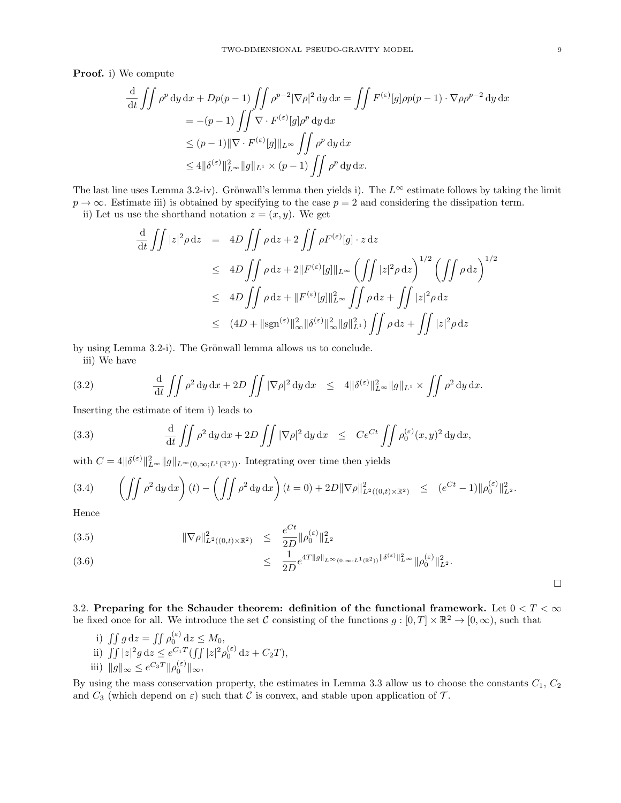Proof. i) We compute

$$
\frac{\mathrm{d}}{\mathrm{d}t} \iint \rho^p \, \mathrm{d}y \, \mathrm{d}x + Dp(p-1) \iint \rho^{p-2} |\nabla \rho|^2 \, \mathrm{d}y \, \mathrm{d}x = \iint F^{(\varepsilon)}[g] \rho p(p-1) \cdot \nabla \rho \rho^{p-2} \, \mathrm{d}y \, \mathrm{d}x
$$
\n
$$
= -(p-1) \iint \nabla \cdot F^{(\varepsilon)}[g] \rho^p \, \mathrm{d}y \, \mathrm{d}x
$$
\n
$$
\le (p-1) \|\nabla \cdot F^{(\varepsilon)}[g]\|_{L^\infty} \iint \rho^p \, \mathrm{d}y \, \mathrm{d}x
$$
\n
$$
\le 4 \|\delta^{(\varepsilon)}\|_{L^\infty}^2 \|g\|_{L^1} \times (p-1) \iint \rho^p \, \mathrm{d}y \, \mathrm{d}x.
$$

The last line uses Lemma 3.2-iv). Grönwall's lemma then yields i). The  $L^{\infty}$  estimate follows by taking the limit  $p \to \infty$ . Estimate iii) is obtained by specifying to the case  $p = 2$  and considering the dissipation term. ii) Let us use the shorthand notation  $z = (x, y)$ . We get

$$
\frac{d}{dt} \iint |z|^2 \rho dz = 4D \iint \rho dz + 2 \iint \rho F^{(\varepsilon)}[g] \cdot z dz
$$
  
\n
$$
\leq 4D \iint \rho dz + 2 \|F^{(\varepsilon)}[g]\|_{L^\infty} \left( \iint |z|^2 \rho dz \right)^{1/2} \left( \iint \rho dz \right)^{1/2}
$$
  
\n
$$
\leq 4D \iint \rho dz + \|F^{(\varepsilon)}[g]\|_{L^\infty}^2 \iint \rho dz + \iint |z|^2 \rho dz
$$
  
\n
$$
\leq (4D + ||sgn^{(\varepsilon)}||_{\infty}^2 ||\delta^{(\varepsilon)}||_{\infty}^2 ||g||_{L^1}^2) \iint \rho dz + \iint |z|^2 \rho dz
$$

by using Lemma 3.2-i). The Grönwall lemma allows us to conclude.

iii) We have

(3.2) 
$$
\frac{\mathrm{d}}{\mathrm{d}t} \iint \rho^2 \, \mathrm{d}y \, \mathrm{d}x + 2D \iint |\nabla \rho|^2 \, \mathrm{d}y \, \mathrm{d}x \le 4 \|\delta^{(\varepsilon)}\|_{L^\infty}^2 \|g\|_{L^1} \times \iint \rho^2 \, \mathrm{d}y \, \mathrm{d}x.
$$

Inserting the estimate of item i) leads to

(3.3) 
$$
\frac{\mathrm{d}}{\mathrm{d}t} \iint \rho^2 \, \mathrm{d}y \, \mathrm{d}x + 2D \iint |\nabla \rho|^2 \, \mathrm{d}y \, \mathrm{d}x \leq C e^{Ct} \iint \rho_0^{(\varepsilon)}(x, y)^2 \, \mathrm{d}y \, \mathrm{d}x,
$$

with  $C = 4||\delta^{(\varepsilon)}||_{L^{\infty}}^2 ||g||_{L^{\infty}(0,\infty;L^1(\mathbb{R}^2))}$ . Integrating over time then yields

$$
(3.4) \qquad \left(\iint \rho^2 \, \mathrm{d}y \, \mathrm{d}x\right)(t) - \left(\iint \rho^2 \, \mathrm{d}y \, \mathrm{d}x\right)(t=0) + 2D \|\nabla \rho\|_{L^2((0,t)\times\mathbb{R}^2)}^2 \leq (e^{Ct} - 1) \|\rho_0^{(\varepsilon)}\|_{L^2}^2.
$$

Hence

(3.5) 
$$
\|\nabla \rho\|_{L^2((0,t)\times \mathbb{R}^2)}^2 \leq \frac{e^{Ct}}{2D} \|\rho_0^{(\varepsilon)}\|_{L^2}^2
$$

$$
\leq \frac{1}{2D} e^{4T\|g\|_{L^{\infty}(0,\infty;L^{1}(\mathbb{R}^{2}))}\|\delta^{(\varepsilon)}\|_{L^{\infty}}^{2}} \|\rho_{0}^{(\varepsilon)}\|_{L^{2}}^{2}}.
$$

 $\Box$ 

3.2. Preparing for the Schauder theorem: definition of the functional framework. Let  $0 < T < \infty$ be fixed once for all. We introduce the set C consisting of the functions  $g:[0,T]\times\mathbb{R}^2\to[0,\infty)$ , such that

i)  $\iint g dz = \iint \rho_0^{(\varepsilon)} dz \leq M_0$ , ii)  $\int \int |z|^2 g dz \leq e^{C_1 T} (\int \int |z|^2 \rho_0^{(\varepsilon)} dz + C_2 T),$ iii)  $||g||_{\infty} \leq e^{C_3T} ||\rho_0^{(\varepsilon)}||_{\infty},$ 

By using the mass conservation property, the estimates in Lemma 3.3 allow us to choose the constants  $C_1$ ,  $C_2$ and  $C_3$  (which depend on  $\varepsilon$ ) such that C is convex, and stable upon application of T.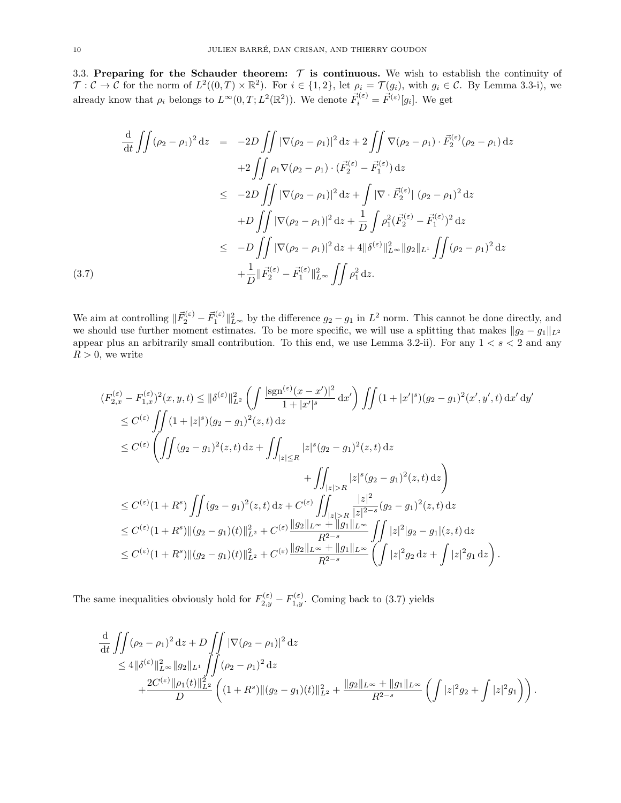3.3. Preparing for the Schauder theorem:  $\tau$  is continuous. We wish to establish the continuity of  $\mathcal{T}: \mathcal{C} \to \mathcal{C}$  for the norm of  $L^2((0,T) \times \mathbb{R}^2)$ . For  $i \in \{1,2\}$ , let  $\rho_i = \mathcal{T}(g_i)$ , with  $g_i \in \mathcal{C}$ . By Lemma 3.3-i), we already know that  $\rho_i$  belongs to  $L^{\infty}(0,T; L^2(\mathbb{R}^2))$ . We denote  $\vec{F}_i^{(\varepsilon)} = \vec{F}^{(\varepsilon)}[g_i]$ . We get

$$
\frac{d}{dt} \iint (\rho_2 - \rho_1)^2 dz = -2D \iint |\nabla(\rho_2 - \rho_1)|^2 dz + 2 \iint \nabla(\rho_2 - \rho_1) \cdot \vec{F}_2^{(\varepsilon)}(\rho_2 - \rho_1) dz \n+2 \iint \rho_1 \nabla(\rho_2 - \rho_1) \cdot (\vec{F}_2^{(\varepsilon)} - \vec{F}_1^{(\varepsilon)}) dz \n\leq -2D \iint |\nabla(\rho_2 - \rho_1)|^2 dz + \int |\nabla \cdot \vec{F}_2^{(\varepsilon)}| (\rho_2 - \rho_1)^2 dz \n+D \iint |\nabla(\rho_2 - \rho_1)|^2 dz + \frac{1}{D} \int \rho_1^2 (\vec{F}_2^{(\varepsilon)} - \vec{F}_1^{(\varepsilon)})^2 dz \n\leq -D \iint |\nabla(\rho_2 - \rho_1)|^2 dz + 4 \|\delta^{(\varepsilon)}\|_{L^\infty}^2 \|g_2\|_{L^1} \iint (\rho_2 - \rho_1)^2 dz \n+ \frac{1}{D} \|\vec{F}_2^{(\varepsilon)} - \vec{F}_1^{(\varepsilon)}\|_{L^\infty}^2 \iint \rho_1^2 dz.
$$

We aim at controlling  $\|\vec{F}_2^{(\varepsilon)} - \vec{F}_1^{(\varepsilon)}\|^2_{L^\infty}$  by the difference  $g_2 - g_1$  in  $L^2$  norm. This cannot be done directly, and we should use further moment estimates. To be more specific, we will use a splitting that makes  $||g_2 - g_1||_{L^2}$ appear plus an arbitrarily small contribution. To this end, we use Lemma 3.2-ii). For any  $1 < s < 2$  and any  $R > 0$ , we write

$$
(F_{2,x}^{(\varepsilon)} - F_{1,x}^{(\varepsilon)})^2(x, y, t) \leq \|\delta^{(\varepsilon)}\|_{L^2}^2 \left( \int \frac{|\text{sgn}^{(\varepsilon)}(x - x')|^2}{1 + |x'|^s} dx' \right) \iint (1 + |x'|^s) (g_2 - g_1)^2(x', y', t) dx' dy' \n\leq C^{(\varepsilon)} \iint (1 + |z|^s) (g_2 - g_1)^2(z, t) dz \n\leq C^{(\varepsilon)} \left( \iint (g_2 - g_1)^2(z, t) dz + \iint_{|z| \leq R} |z|^s (g_2 - g_1)^2(z, t) dz \n+ \iint_{|z| > R} |z|^s (g_2 - g_1)^2(z, t) dz \right) \n\leq C^{(\varepsilon)} (1 + R^s) \iint (g_2 - g_1)^2(z, t) dz + C^{(\varepsilon)} \iint_{|z| > R} \frac{|z|^2}{|z|^{2-s}} (g_2 - g_1)^2(z, t) dz \n\leq C^{(\varepsilon)} (1 + R^s) ||(g_2 - g_1)(t)||_{L^2}^2 + C^{(\varepsilon)} \frac{||g_2||_{L^\infty} + ||g_1||_{L^\infty}}{R^{2-s}} \iint_{|z|^2} |z|^2 |g_2 - g_1|(z, t) dz \n\leq C^{(\varepsilon)} (1 + R^s) ||(g_2 - g_1)(t)||_{L^2}^2 + C^{(\varepsilon)} \frac{||g_2||_{L^\infty} + ||g_1||_{L^\infty}}{R^{2-s}} \left( \int |z|^2 g_2 dz + \int |z|^2 g_1 dz \right).
$$

The same inequalities obviously hold for  $F_{2,y}^{(\varepsilon)} - F_{1,y}^{(\varepsilon)}$ . Coming back to (3.7) yields

$$
\frac{\mathrm{d}}{\mathrm{d}t} \iint (\rho_2 - \rho_1)^2 \, \mathrm{d}z + D \iint |\nabla(\rho_2 - \rho_1)|^2 \, \mathrm{d}z \n= 4 \|\delta^{(\varepsilon)}\|_{L^\infty}^2 \|g_2\|_{L^1} \iint (\rho_2 - \rho_1)^2 \, \mathrm{d}z \n+ \frac{2C^{(\varepsilon)} \|\rho_1(t)\|_{L^2}^2}{D} \left( (1+R^s) \| (g_2 - g_1)(t) \|_{L^2}^2 + \frac{\|g_2\|_{L^\infty} + \|g_1\|_{L^\infty}}{R^{2-s}} \left( \int |z|^2 g_2 + \int |z|^2 g_1 \right) \right).
$$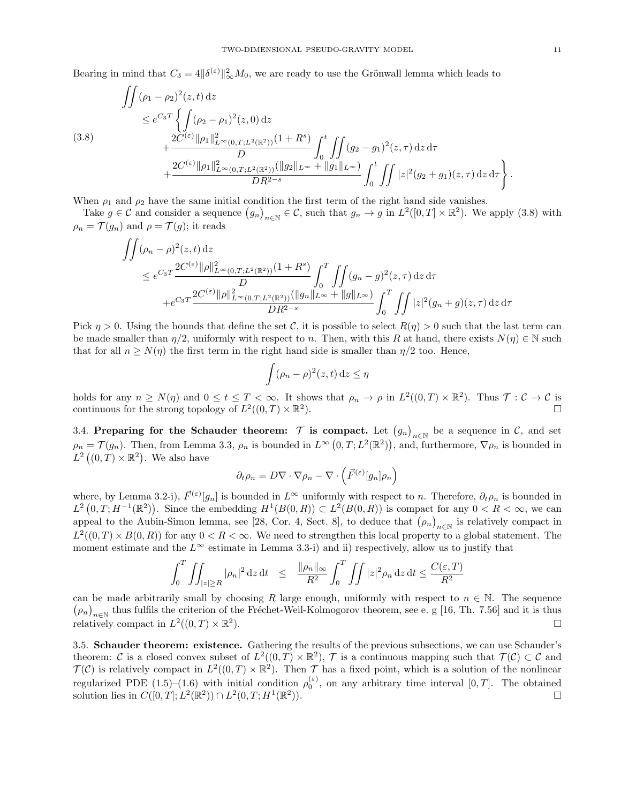Bearing in mind that  $C_3 = 4 \|\delta^{(\varepsilon)}\|_{\infty}^2 M_0$ , we are ready to use the Grönwall lemma which leads to

$$
\iint (\rho_1 - \rho_2)^2(z, t) dz
$$
\n
$$
\leq e^{C_3 T} \left\{ \int (\rho_2 - \rho_1)^2(z, 0) dz + \frac{2C^{(\varepsilon)} \|\rho_1\|_{L^\infty(0, T; L^2(\mathbb{R}^2))}^2 (1 + R^s)}{D} \int_0^t \iint (g_2 - g_1)^2(z, \tau) dz d\tau + \frac{2C^{(\varepsilon)} \|\rho_1\|_{L^\infty(0, T; L^2(\mathbb{R}^2))}^2 (\|g_2\|_{L^\infty} + \|g_1\|_{L^\infty})}{DR^{2-s}} \int_0^t \iint |z|^2 (g_2 + g_1)(z, \tau) dz d\tau \right\}.
$$

When  $\rho_1$  and  $\rho_2$  have the same initial condition the first term of the right hand side vanishes.

Take  $g \in \mathcal{C}$  and consider a sequence  $(g_n)_{n \in \mathbb{N}} \in \mathcal{C}$ , such that  $g_n \to g$  in  $L^2([0,T] \times \mathbb{R}^2)$ . We apply (3.8) with  $\rho_n = \mathcal{T}(g_n)$  and  $\rho = \mathcal{T}(g)$ ; it reads

$$
\iint (\rho_n - \rho)^2(z, t) dz
$$
\n
$$
\leq e^{C_3 T} \frac{2C^{(\varepsilon)} \|\rho\|_{L^\infty(0, T; L^2(\mathbb{R}^2))}^2 (1 + R^s)}{D} \int_0^T \iint (g_n - g)^2(z, \tau) dz d\tau
$$
\n
$$
+ e^{C_3 T} \frac{2C^{(\varepsilon)} \|\rho\|_{L^\infty(0, T; L^2(\mathbb{R}^2))}^2 (\|g_n\|_{L^\infty} + \|g\|_{L^\infty})}{DR^{2-s}} \int_0^T \iint |z|^2 (g_n + g)(z, \tau) dz d\tau
$$

Pick  $\eta > 0$ . Using the bounds that define the set C, it is possible to select  $R(\eta) > 0$  such that the last term can be made smaller than  $\eta/2$ , uniformly with respect to n. Then, with this R at hand, there exists  $N(\eta) \in \mathbb{N}$  such that for all  $n \geq N(\eta)$  the first term in the right hand side is smaller than  $\eta/2$  too. Hence,

$$
\int (\rho_n - \rho)^2(z, t) \, dz \le \eta
$$

holds for any  $n \geq N(\eta)$  and  $0 \leq t \leq T < \infty$ . It shows that  $\rho_n \to \rho$  in  $L^2((0,T) \times \mathbb{R}^2)$ . Thus  $\mathcal{T}: \mathcal{C} \to \mathcal{C}$  is continuous for the strong topology of  $L^2((0,T)\times\mathbb{R}^2)$ ).

3.4. Preparing for the Schauder theorem:  $\mathcal T$  is compact. Let  $(g_n)_{n\in\mathbb N}$  be a sequence in  $\mathcal C$ , and set  $\rho_n = \mathcal{T}(g_n)$ . Then, from Lemma 3.3,  $\rho_n$  is bounded in  $L^{\infty}(0,T;L^2(\mathbb{R}^2))$ , and, furthermore,  $\nabla \rho_n$  is bounded in  $L^2((0,T)\times\mathbb{R}^2)$ . We also have

$$
\partial_t \rho_n = D \nabla \cdot \nabla \rho_n - \nabla \cdot \left( \vec{F}^{(\varepsilon)}[g_n] \rho_n \right)
$$

where, by Lemma 3.2-i),  $\vec{F}^{(\varepsilon)}[g_n]$  is bounded in  $L^{\infty}$  uniformly with respect to n. Therefore,  $\partial_t \rho_n$  is bounded in  $L^2(0,T;H^{-1}(\mathbb{R}^2))$ . Since the embedding  $H^1(B(0,R)) \subset L^2(B(0,R))$  is compact for any  $0 < R < \infty$ , we can appeal to the Aubin-Simon lemma, see [28, Cor. 4, Sect. 8], to deduce that  $(\rho_n)_{n\in\mathbb{N}}$  is relatively compact in  $L^2((0,T) \times B(0,R))$  for any  $0 < R < \infty$ . We need to strengthen this local property to a global statement. The moment estimate and the  $L^{\infty}$  estimate in Lemma 3.3-i) and ii) respectively, allow us to justify that

$$
\int_0^T \iint_{|z| \ge R} |\rho_n|^2 \, \mathrm{d}z \, \mathrm{d}t \quad \le \quad \frac{\|\rho_n\|_{\infty}}{R^2} \int_0^T \iint |z|^2 \rho_n \, \mathrm{d}z \, \mathrm{d}t \le \frac{C(\varepsilon, T)}{R^2}
$$

can be made arbitrarily small by choosing R large enough, uniformly with respect to  $n \in \mathbb{N}$ . The sequence  $(\rho_n)_{n\in\mathbb{N}}$  thus fulfils the criterion of the Fréchet-Weil-Kolmogorov theorem, see e. g [16, Th. 7.56] and it is thus relatively compact in  $L^2((0,T)\times\mathbb{R}^2)$ ).  $\Box$ 

3.5. Schauder theorem: existence. Gathering the results of the previous subsections, we can use Schauder's theorem: C is a closed convex subset of  $L^2((0,T)\times\mathbb{R}^2)$ , T is a continuous mapping such that  $\mathcal{T}(\mathcal{C})\subset\mathcal{C}$  and  $\mathcal{T}(\mathcal{C})$  is relatively compact in  $L^2((0,T)\times\mathbb{R}^2)$ . Then  $\mathcal{T}$  has a fixed point, which is a solution of the nonlinear regularized PDE (1.5)–(1.6) with initial condition  $\rho_0^{(\varepsilon)}$ , on any arbitrary time interval [0, T]. The obtained solution lies in  $C([0, T]; L^2(\mathbb{R}^2)) \cap L^2(0, T; H^1(\mathbb{R}^2))$ )).  $\Box$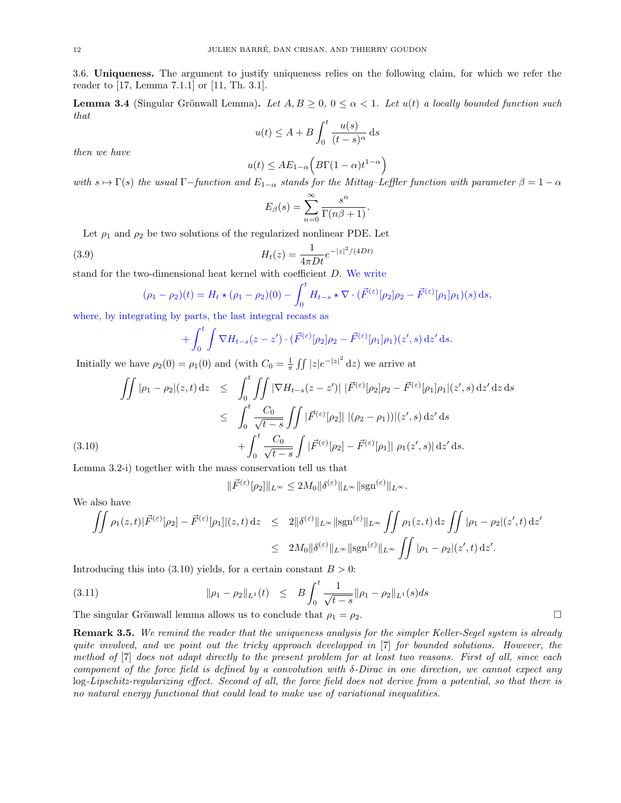3.6. Uniqueness. The argument to justify uniqueness relies on the following claim, for which we refer the reader to [17, Lemma 7.1.1] or [11, Th. 3.1].

**Lemma 3.4** (Singular Grönwall Lemma). Let  $A, B \geq 0$ ,  $0 \leq \alpha < 1$ . Let  $u(t)$  a locally bounded function such that

$$
u(t) \le A + B \int_0^t \frac{u(s)}{(t-s)^\alpha} ds
$$

then we have

$$
u(t) \leq AE_{1-\alpha}\Big(B\Gamma(1-\alpha)t^{1-\alpha}\Big)
$$

with  $s \mapsto \Gamma(s)$  the usual  $\Gamma$ -function and  $E_{1-\alpha}$  stands for the Mittag–Leffler function with parameter  $\beta = 1 - \alpha$ 

$$
E_{\beta}(s) = \sum_{n=0}^{\infty} \frac{s^n}{\Gamma(n\beta + 1)}.
$$

Let  $\rho_1$  and  $\rho_2$  be two solutions of the regularized nonlinear PDE. Let

(3.9) 
$$
H_t(z) = \frac{1}{4\pi Dt} e^{-|z|^2/(4Dt)}
$$

stand for the two-dimensional heat kernel with coefficient  $D$ . We write

$$
(\rho_1 - \rho_2)(t) = H_t \star (\rho_1 - \rho_2)(0) - \int_0^t H_{t-s} \star \nabla \cdot (\vec{F}^{(\varepsilon)}[\rho_2]\rho_2 - \vec{F}^{(\varepsilon)}[\rho_1]\rho_1)(s) \,ds,
$$

where, by integrating by parts, the last integral recasts as

$$
+ \int_0^t \int \nabla H_{t-s}(z-z') \cdot (\vec{F}^{(\varepsilon)}[\rho_2]\rho_2 - \vec{F}^{(\varepsilon)}[\rho_1]\rho_1)(z',s) \,dz' \,ds.
$$

Initially we have  $\rho_2(0) = \rho_1(0)$  and (with  $C_0 = \frac{1}{\pi} \iint |z| e^{-|z|^2} dz$ ) we arrive at

$$
\iint |\rho_1 - \rho_2|(z, t) dz \leq \int_0^t \iint |\nabla H_{t-s}(z - z')| |\vec{F}^{(\varepsilon)}[\rho_2]\rho_2 - \vec{F}^{(\varepsilon)}[\rho_1]\rho_1|(z', s) dz' dz ds
$$
  

$$
\leq \int_0^t \frac{C_0}{\sqrt{t-s}} \iint |\vec{F}^{(\varepsilon)}[\rho_2]| |(\rho_2 - \rho_1)||(z', s) dz' ds
$$
  

$$
+ \int_0^t \frac{C_0}{\sqrt{t-s}} \int |\vec{F}^{(\varepsilon)}[\rho_2] - \vec{F}^{(\varepsilon)}[\rho_1]| |\rho_1(z', s)| dz' ds.
$$

Lemma 3.2-i) together with the mass conservation tell us that

$$
\|\vec{F}^{(\varepsilon)}[\rho_2]\|_{L^\infty} \le 2M_0 \|\delta^{(\varepsilon)}\|_{L^\infty} \|\text{sgn}^{(\varepsilon)}\|_{L^\infty}.
$$

We also have

$$
\iint \rho_1(z,t)|\vec{F}^{(\varepsilon)}[\rho_2] - \vec{F}^{(\varepsilon)}[\rho_1]|(z,t) dz \leq 2\|\delta^{(\varepsilon)}\|_{L^\infty} \|\text{sgn}^{(\varepsilon)}\|_{L^\infty} \iint \rho_1(z,t) dz \iint |\rho_1 - \rho_2|(z',t) dz' \leq 2M_0 \|\delta^{(\varepsilon)}\|_{L^\infty} \|\text{sgn}^{(\varepsilon)}\|_{L^\infty} \iint |\rho_1 - \rho_2|(z',t) dz'.
$$

Introducing this into (3.10) yields, for a certain constant  $B > 0$ :

(3.11) 
$$
\|\rho_1 - \rho_2\|_{L^1}(t) \leq B \int_0^t \frac{1}{\sqrt{t-s}} \|\rho_1 - \rho_2\|_{L^1}(s) ds
$$

The singular Grönwall lemma allows us to conclude that  $\rho_1 = \rho_2$ .

**Remark 3.5.** We remind the reader that the uniqueness analysis for the simpler Keller-Segel system is already quite involved, and we point out the tricky approach developped in [7] for bounded solutions. However, the method of [7] does not adapt directly to the present problem for at least two reasons. First of all, since each component of the force field is defined by a convolution with  $\delta$ -Dirac in one direction, we cannot expect any log-Lipschitz-regularizing effect. Second of all, the force field does not derive from a potential, so that there is no natural energy functional that could lead to make use of variational inequalities.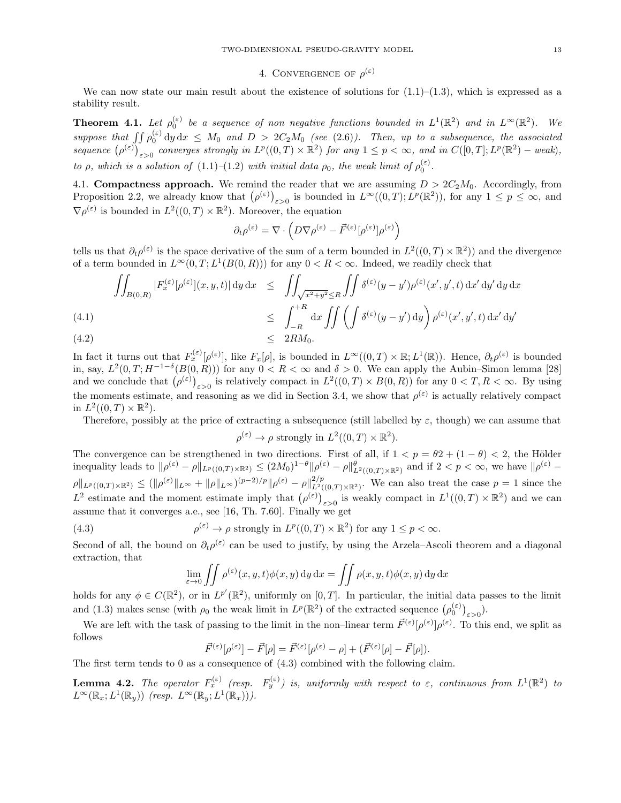# 4. CONVERGENCE OF  $\rho^{(\varepsilon)}$

We can now state our main result about the existence of solutions for  $(1.1)$ – $(1.3)$ , which is expressed as a stability result.

**Theorem 4.1.** Let  $\rho_0^{(\varepsilon)}$  be a sequence of non negative functions bounded in  $L^1(\mathbb{R}^2)$  and in  $L^{\infty}(\mathbb{R}^2)$ . We suppose that  $\iint \rho_0^{(\varepsilon)} dy dx \leq M_0$  and  $D > 2C_2M_0$  (see (2.6)). Then, up to a subsequence, the associated sequence  $(\rho^{(\varepsilon)})_{\varepsilon>0}$  converges strongly in  $L^p((0,T)\times\mathbb{R}^2)$  for any  $1\leq p<\infty$ , and in  $C([0,T];L^p(\mathbb{R}^2)$  – weak), to  $\rho$ , which is a solution of (1.1)-(1.2) with initial data  $\rho_0$ , the weak limit of  $\rho_0^{(\varepsilon)}$ .

4.1. Compactness approach. We remind the reader that we are assuming  $D > 2C_2M_0$ . Accordingly, from Proposition 2.2, we already know that  $(\rho^{(\varepsilon)})_{\varepsilon>0}$  is bounded in  $L^{\infty}((0,T); L^p(\mathbb{R}^2))$ , for any  $1 \leq p \leq \infty$ , and  $\nabla \rho^{(\varepsilon)}$  is bounded in  $L^2((0,T)\times \mathbb{R}^2)$ . Moreover, the equation

$$
\partial_t \rho^{(\varepsilon)} = \nabla \cdot \left( D \nabla \rho^{(\varepsilon)} - \vec{F}^{(\varepsilon)}[\rho^{(\varepsilon)}] \rho^{(\varepsilon)} \right)
$$

tells us that  $\partial_t \rho^{(\varepsilon)}$  is the space derivative of the sum of a term bounded in  $L^2((0,T)\times\mathbb{R}^2)$  and the divergence of a term bounded in  $L^{\infty}(0,T; L^{1}(B(0,R)))$  for any  $0 < R < \infty$ . Indeed, we readily check that

$$
\iint_{B(0,R)} |F_x^{(\varepsilon)}[\rho^{(\varepsilon)}](x,y,t)| \, dy \, dx \le \iint_{\sqrt{x^2 + y^2} \le R} \iint \delta^{(\varepsilon)}(y - y') \rho^{(\varepsilon)}(x', y', t) \, dx' \, dy' \, dy \, dx
$$
\n
$$
\le \int_{-R}^{+R} dx \iint \left( \int \delta^{(\varepsilon)}(y - y') \, dy \right) \rho^{(\varepsilon)}(x', y', t) \, dx' \, dy'
$$
\n
$$
\le 2R M_0.
$$

In fact it turns out that  $F_x^{(\varepsilon)}[\rho^{(\varepsilon)}],$  like  $F_x[\rho],$  is bounded in  $L^\infty((0,T)\times\mathbb{R}; L^1(\mathbb{R}))$ . Hence,  $\partial_t\rho^{(\varepsilon)}$  is bounded in, say,  $L^2(0,T;H^{-1-\delta}(B(0,R)))$  for any  $0 < R < \infty$  and  $\delta > 0$ . We can apply the Aubin–Simon lemma [28] and we conclude that  $(\rho^{(\varepsilon)})_{\varepsilon>0}$  is relatively compact in  $L^2((0,T)\times B(0,R))$  for any  $0 < T, R < \infty$ . By using the moments estimate, and reasoning as we did in Section 3.4, we show that  $\rho^{(\varepsilon)}$  is actually relatively compact in  $L^2((0,T)\times\mathbb{R}^2)$ .

Therefore, possibly at the price of extracting a subsequence (still labelled by  $\varepsilon$ , though) we can assume that

$$
\rho^{(\varepsilon)} \to \rho
$$
 strongly in  $L^2((0,T) \times \mathbb{R}^2)$ .

The convergence can be strengthened in two directions. First of all, if  $1 < p = \theta 2 + (1 - \theta) < 2$ , the Hölder inequality leads to  $\|\rho^{(\varepsilon)} - \rho\|_{L^p((0,T)\times \mathbb{R}^2)} \leq (2M_0)^{1-\theta} \|\rho^{(\varepsilon)} - \rho\|_{L^2((0,T)\times \mathbb{R}^2)}^{\theta}$  and if  $2 < p < \infty$ , we have  $\|\rho^{(\varepsilon)} - \rho\|_{L^p((0,T)\times \mathbb{R}^2)}^{\theta}$  $\rho \|_{L^p((0,T)\times\mathbb{R}^2)} \leq (\|\rho^{(\varepsilon)}\|_{L^\infty} + \|\rho\|_{L^\infty})^{(p-2)/p} \|\rho^{(\varepsilon)} - \rho\|_{L^2((0,T)\times\mathbb{R}^2)}^{2/p}$ . We can also treat the case  $p=1$  since the  $L^2$  estimate and the moment estimate imply that  $(\rho^{(\varepsilon)})_{\varepsilon>0}$  is weakly compact in  $L^1((0,T)\times\mathbb{R}^2)$  and we can assume that it converges a.e., see [16, Th. 7.60]. Finally we get

(4.3) 
$$
\rho^{(\varepsilon)} \to \rho \text{ strongly in } L^p((0,T) \times \mathbb{R}^2) \text{ for any } 1 \le p < \infty.
$$

Second of all, the bound on  $\partial_t \rho^{(\varepsilon)}$  can be used to justify, by using the Arzela–Ascoli theorem and a diagonal extraction, that

$$
\lim_{\varepsilon \to 0} \iint \rho^{(\varepsilon)}(x, y, t) \phi(x, y) \, dy \, dx = \iint \rho(x, y, t) \phi(x, y) \, dy \, dx
$$

holds for any  $\phi \in C(\mathbb{R}^2)$ , or in  $L^{p'}(\mathbb{R}^2)$ , uniformly on [0, T]. In particular, the initial data passes to the limit and (1.3) makes sense (with  $\rho_0$  the weak limit in  $L^p(\mathbb{R}^2)$  of the extracted sequence  $(\rho_0^{(\varepsilon)})_{\varepsilon>0}$ ).

We are left with the task of passing to the limit in the non-linear term  $\vec{F}^{(\varepsilon)}[\rho^{(\varepsilon)}]\rho^{(\varepsilon)}$ . To this end, we split as follows

$$
\vec{F}^{(\varepsilon)}[\rho^{(\varepsilon)}] - \vec{F}[\rho] = \vec{F}^{(\varepsilon)}[\rho^{(\varepsilon)} - \rho] + (\vec{F}^{(\varepsilon)}[\rho] - \vec{F}[\rho]).
$$

The first term tends to 0 as a consequence of (4.3) combined with the following claim.

**Lemma 4.2.** The operator  $F_x^{(\varepsilon)}$  (resp.  $F_y^{(\varepsilon)}$ ) is, uniformly with respect to  $\varepsilon$ , continuous from  $L^1(\mathbb{R}^2)$  to  $L^{\infty}(\mathbb{R}_x; L^1(\mathbb{R}_y))$  (resp.  $L^{\infty}(\mathbb{R}_y; L^1(\mathbb{R}_x))$ ).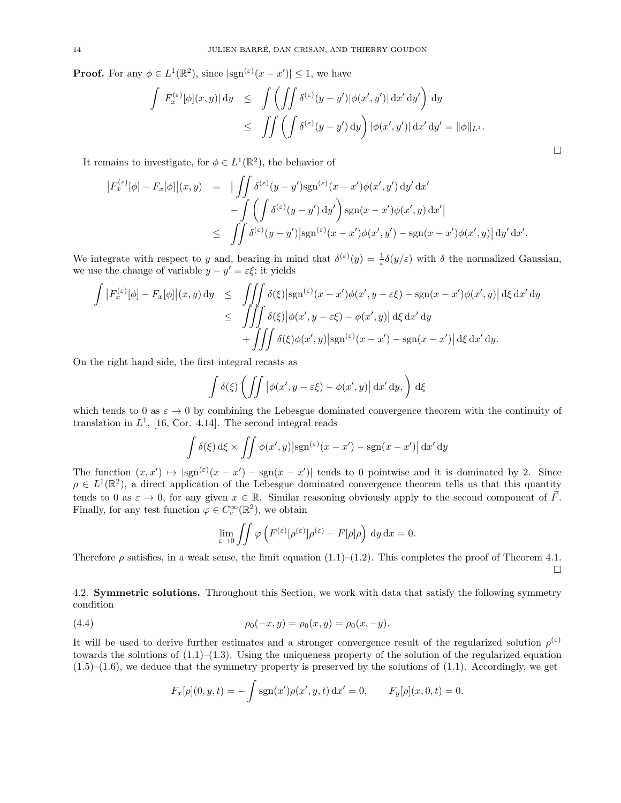**Proof.** For any  $\phi \in L^1(\mathbb{R}^2)$ , since  $|\text{sgn}^{(\varepsilon)}(x - x')| \leq 1$ , we have

$$
\int |F_x^{(\varepsilon)}[\phi](x,y)| \, \mathrm{d}y \quad \le \quad \int \left( \iint \delta^{(\varepsilon)}(y-y') |\phi(x',y')| \, \mathrm{d}x' \, \mathrm{d}y' \right) \, \mathrm{d}y
$$
\n
$$
\le \quad \iint \left( \int \delta^{(\varepsilon)}(y-y') \, \mathrm{d}y \right) |\phi(x',y')| \, \mathrm{d}x' \, \mathrm{d}y' = ||\phi||_{L^1}.
$$

It remains to investigate, for  $\phi \in L^1(\mathbb{R}^2)$ , the behavior of

$$
\begin{array}{rcl}\n\left|F_x^{(\varepsilon)}[\phi] - F_x[\phi]\right|(x,y) & = & \left| \iint \delta^{(\varepsilon)}(y-y')\text{sgn}^{(\varepsilon)}(x-x')\phi(x',y')\,dy'\,dx' \right. \\
&\left.- \iint \left(\int \delta^{(\varepsilon)}(y-y')\,dy'\right)\text{sgn}(x-x')\phi(x',y)\,dx'\right| \\
&\leq & \iint \delta^{(\varepsilon)}(y-y')\big|\text{sgn}^{(\varepsilon)}(x-x')\phi(x',y') - \text{sgn}(x-x')\phi(x',y)\big|\,dy'\,dx'.\n\end{array}
$$

We integrate with respect to y and, bearing in mind that  $\delta^{(\varepsilon)}(y) = \frac{1}{\varepsilon} \delta(y/\varepsilon)$  with  $\delta$  the normalized Gaussian, we use the change of variable  $y - y' = \varepsilon \xi$ ; it yields

$$
\int \left| F_x^{(\varepsilon)}[\phi] - F_x[\phi] \right|(x, y) \, dy \leq \iiint \delta(\xi) \left| \operatorname{sgn}^{(\varepsilon)}(x - x')\phi(x', y - \varepsilon \xi) - \operatorname{sgn}(x - x')\phi(x', y) \right| d\xi \, dx' \, dy
$$
\n
$$
\leq \iiint \delta(\xi) \left| \phi(x', y - \varepsilon \xi) - \phi(x', y) \right| d\xi \, dx' \, dy
$$
\n
$$
+ \iiint \delta(\xi) \phi(x', y) \left| \operatorname{sgn}^{(\varepsilon)}(x - x') - \operatorname{sgn}(x - x') \right| d\xi \, dx' \, dy.
$$

On the right hand side, the first integral recasts as

$$
\int \delta(\xi) \left( \iint \left| \phi(x', y - \varepsilon \xi) - \phi(x', y) \right| \mathrm{d}x' \mathrm{d}y, \right) \mathrm{d}\xi
$$

which tends to 0 as  $\varepsilon \to 0$  by combining the Lebesgue dominated convergence theorem with the continuity of translation in  $L^1$ , [16, Cor. 4.14]. The second integral reads

$$
\int \delta(\xi) d\xi \times \iint \phi(x', y) |\text{sgn}^{(\varepsilon)}(x - x') - \text{sgn}(x - x')| dx' dy
$$

The function  $(x, x') \mapsto |\text{sgn}(\varepsilon)(x - x') - \text{sgn}(x - x')|$  tends to 0 pointwise and it is dominated by 2. Since  $\rho \in L^1(\mathbb{R}^2)$ , a direct application of the Lebesgue dominated convergence theorem tells us that this quantity tends to 0 as  $\varepsilon \to 0$ , for any given  $x \in \mathbb{R}$ . Similar reasoning obviously apply to the second component of  $\vec{F}$ . Finally, for any test function  $\varphi \in C_c^{\infty}(\mathbb{R}^2)$ , we obtain

$$
\lim_{\varepsilon \to 0} \iint \varphi \left( F^{(\varepsilon)} [\rho^{(\varepsilon)}] \rho^{(\varepsilon)} - F[\rho] \rho \right) dy dx = 0.
$$

Therefore  $\rho$  satisfies, in a weak sense, the limit equation (1.1)–(1.2). This completes the proof of Theorem 4.1.  $\Box$ 

4.2. Symmetric solutions. Throughout this Section, we work with data that satisfy the following symmetry condition

(4.4) 
$$
\rho_0(-x,y) = \rho_0(x,y) = \rho_0(x,-y).
$$

It will be used to derive further estimates and a stronger convergence result of the regularized solution  $\rho^{(\varepsilon)}$ towards the solutions of  $(1.1)$ – $(1.3)$ . Using the uniqueness property of the solution of the regularized equation  $(1.5)$ – $(1.6)$ , we deduce that the symmetry property is preserved by the solutions of  $(1.1)$ . Accordingly, we get

$$
F_x[\rho](0, y, t) = -\int \operatorname{sgn}(x')\rho(x', y, t) dx' = 0, \qquad F_y[\rho](x, 0, t) = 0.
$$

 $\Box$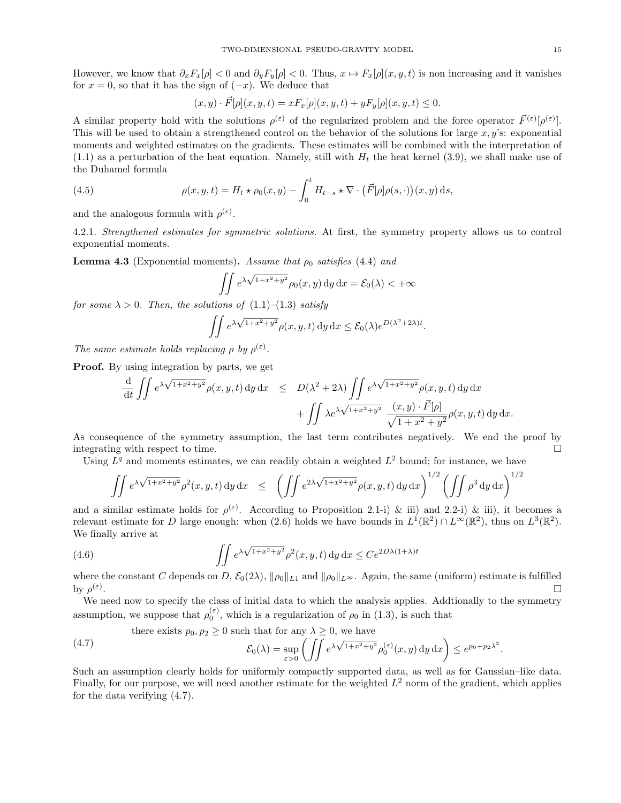However, we know that  $\partial_x F_x[\rho] < 0$  and  $\partial_y F_y[\rho] < 0$ . Thus,  $x \mapsto F_x[\rho](x, y, t)$  is non increasing and it vanishes for  $x = 0$ , so that it has the sign of  $(-x)$ . We deduce that

$$
(x,y)\cdot \vec{F}[\rho](x,y,t)=xF_x[\rho](x,y,t)+yF_y[\rho](x,y,t)\leq 0.
$$

A similar property hold with the solutions  $\rho^{(\varepsilon)}$  of the regularized problem and the force operator  $\vec{F}^{(\varepsilon)}[\rho^{(\varepsilon)}]$ . This will be used to obtain a strengthened control on the behavior of the solutions for large  $x, y$ 's: exponential moments and weighted estimates on the gradients. These estimates will be combined with the interpretation of  $(1.1)$  as a perturbation of the heat equation. Namely, still with  $H_t$  the heat kernel  $(3.9)$ , we shall make use of the Duhamel formula

(4.5) 
$$
\rho(x, y, t) = H_t \star \rho_0(x, y) - \int_0^t H_{t-s} \star \nabla \cdot (\vec{F}[\rho] \rho(s, \cdot))(x, y) \,ds,
$$

and the analogous formula with  $\rho^{(\varepsilon)}$ .

4.2.1. Strengthened estimates for symmetric solutions. At first, the symmetry property allows us to control exponential moments.

**Lemma 4.3** (Exponential moments). Assume that  $\rho_0$  satisfies (4.4) and

$$
\iint e^{\lambda \sqrt{1+x^2+y^2}} \rho_0(x, y) \, dy \, dx = \mathcal{E}_0(\lambda) < +\infty
$$

for some  $\lambda > 0$ . Then, the solutions of  $(1.1)$ – $(1.3)$  satisfy

$$
\iint e^{\lambda \sqrt{1+x^2+y^2}} \rho(x, y, t) \, dy \, dx \le \mathcal{E}_0(\lambda) e^{D(\lambda^2+2\lambda)t}.
$$

The same estimate holds replacing  $\rho$  by  $\rho^{(\varepsilon)}$ .

Proof. By using integration by parts, we get

$$
\frac{\mathrm{d}}{\mathrm{d}t} \iint e^{\lambda \sqrt{1+x^2+y^2}} \rho(x,y,t) \, \mathrm{d}y \, \mathrm{d}x \quad \leq \quad D(\lambda^2+2\lambda) \iint e^{\lambda \sqrt{1+x^2+y^2}} \rho(x,y,t) \, \mathrm{d}y \, \mathrm{d}x \n+ \iint \lambda e^{\lambda \sqrt{1+x^2+y^2}} \frac{(x,y) \cdot \vec{F}[\rho]}{\sqrt{1+x^2+y^2}} \rho(x,y,t) \, \mathrm{d}y \, \mathrm{d}x.
$$

As consequence of the symmetry assumption, the last term contributes negatively. We end the proof by integrating with respect to time.

Using  $L<sup>q</sup>$  and moments estimates, we can readily obtain a weighted  $L<sup>2</sup>$  bound; for instance, we have

$$
\iint e^{\lambda \sqrt{1+x^2+y^2}} \rho^2(x,y,t) dy dx \leq \left( \iint e^{2\lambda \sqrt{1+x^2+y^2}} \rho(x,y,t) dy dx \right)^{1/2} \left( \iint \rho^3 dy dx \right)^{1/2}
$$

and a similar estimate holds for  $\rho^{(\varepsilon)}$ . According to Proposition 2.1-i) & iii) and 2.2-i) & iii), it becomes a relevant estimate for D large enough: when (2.6) holds we have bounds in  $L^1(\mathbb{R}^2) \cap L^\infty(\mathbb{R}^2)$ , thus on  $L^3(\mathbb{R}^2)$ . We finally arrive at

(4.6) 
$$
\iint e^{\lambda \sqrt{1+x^2+y^2}} \rho^2(x, y, t) dy dx \leq Ce^{2D\lambda(1+\lambda)t}
$$

where the constant C depends on D,  $\mathcal{E}_0(2\lambda)$ ,  $\|\rho_0\|_{L_1}$  and  $\|\rho_0\|_{L^{\infty}}$ . Again, the same (uniform) estimate is fulfilled by  $\rho^{(\varepsilon)}$ .

We need now to specify the class of initial data to which the analysis applies. Addtionally to the symmetry assumption, we suppose that  $\rho_0^{(\varepsilon)}$ , which is a regularization of  $\rho_0$  in (1.3), is such that

there exists 
$$
p_0, p_2 \ge 0
$$
 such that for any  $\lambda \ge 0$ , we have  
\n
$$
\mathcal{E}_0(\lambda) = \sup_{\varepsilon > 0} \left( \iint e^{\lambda \sqrt{1 + x^2 + y^2}} \rho_0^{(\varepsilon)}(x, y) \, dy \, dx \right) \le e^{p_0 + p_2 \lambda^2}.
$$

Such an assumption clearly holds for uniformly compactly supported data, as well as for Gaussian–like data. Finally, for our purpose, we will need another estimate for the weighted  $L^2$  norm of the gradient, which applies for the data verifying (4.7).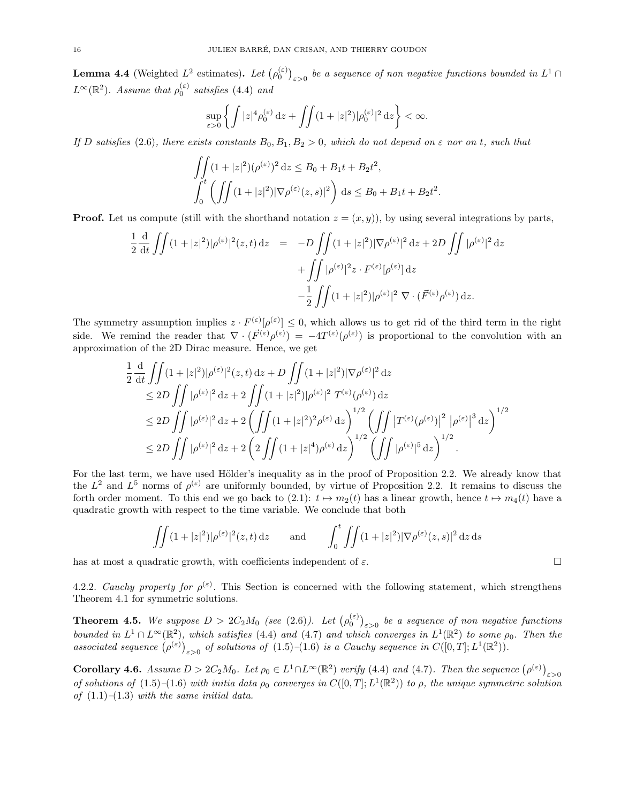**Lemma 4.4** (Weighted  $L^2$  estimates). Let  $(\rho_0^{(\varepsilon)})_{\varepsilon>0}$  be a sequence of non negative functions bounded in  $L^1 \cap$  $L^{\infty}(\mathbb{R}^2)$ . Assume that  $\rho_0^{(\varepsilon)}$  satisfies (4.4) and

$$
\sup_{\varepsilon>0}\left\{\int|z|^4\rho_0^{(\varepsilon)}\,\mathrm{d} z+\iint(1+|z|^2)|\rho_0^{(\varepsilon)}|^2\,\mathrm{d} z\right\}<\infty.
$$

If D satisfies (2.6), there exists constants  $B_0, B_1, B_2 > 0$ , which do not depend on  $\varepsilon$  nor on t, such that

$$
\iint_{0} (1+|z|^2)(\rho^{(\varepsilon)})^2 dz \le B_0 + B_1 t + B_2 t^2,
$$
  

$$
\int_{0}^{t} \left( \iint (1+|z|^2) |\nabla \rho^{(\varepsilon)}(z,s)|^2 \right) ds \le B_0 + B_1 t + B_2 t^2.
$$

**Proof.** Let us compute (still with the shorthand notation  $z = (x, y)$ ), by using several integrations by parts,

$$
\frac{1}{2} \frac{d}{dt} \iint (1+|z|^2)|\rho^{(\varepsilon)}|^2(z,t) dz = -D \iint (1+|z|^2)|\nabla \rho^{(\varepsilon)}|^2 dz + 2D \iint |\rho^{(\varepsilon)}|^2 dz \n+ \iint |\rho^{(\varepsilon)}|^2 z \cdot F^{(\varepsilon)}[\rho^{(\varepsilon)}] dz \n- \frac{1}{2} \iint (1+|z|^2)|\rho^{(\varepsilon)}|^2 \nabla \cdot (\vec{F}^{(\varepsilon)}\rho^{(\varepsilon)}) dz.
$$

The symmetry assumption implies  $z \cdot F^{(\varepsilon)}[\rho^{(\varepsilon)}] \leq 0$ , which allows us to get rid of the third term in the right side. We remind the reader that  $\nabla \cdot (\vec{F}^{(\varepsilon)} \rho^{(\varepsilon)}) = -4T^{(\varepsilon)}(\rho^{(\varepsilon)})$  is proportional to the convolution with an approximation of the 2D Dirac measure. Hence, we get

$$
\frac{1}{2} \frac{d}{dt} \iint (1+|z|^2)|\rho^{(\varepsilon)}|^2(z,t) dz + D \iint (1+|z|^2)|\nabla \rho^{(\varepsilon)}|^2 dz \n\leq 2D \iint |\rho^{(\varepsilon)}|^2 dz + 2 \iint (1+|z|^2)|\rho^{(\varepsilon)}|^2 T^{(\varepsilon)}(\rho^{(\varepsilon)}) dz \n\leq 2D \iint |\rho^{(\varepsilon)}|^2 dz + 2 \left( \iint (1+|z|^2)^2 \rho^{(\varepsilon)} dz \right)^{1/2} \left( \iint |T^{(\varepsilon)}(\rho^{(\varepsilon)})|^2 |\rho^{(\varepsilon)}|^3 dz \right)^{1/2} \n\leq 2D \iint |\rho^{(\varepsilon)}|^2 dz + 2 \left( 2 \iint (1+|z|^4) \rho^{(\varepsilon)} dz \right)^{1/2} \left( \iint |\rho^{(\varepsilon)}|^5 dz \right)^{1/2} .
$$

For the last term, we have used Hölder's inequality as in the proof of Proposition 2.2. We already know that the  $L^2$  and  $L^5$  norms of  $\rho^{(\varepsilon)}$  are uniformly bounded, by virtue of Proposition 2.2. It remains to discuss the forth order moment. To this end we go back to (2.1):  $t \mapsto m_2(t)$  has a linear growth, hence  $t \mapsto m_4(t)$  have a quadratic growth with respect to the time variable. We conclude that both

$$
\iint (1+|z|^2)|\rho^{(\varepsilon)}|^2(z,t)\,\mathrm{d}z \qquad \text{and} \qquad \int_0^t \iint (1+|z|^2)|\nabla \rho^{(\varepsilon)}(z,s)|^2\,\mathrm{d}z\,\mathrm{d}s
$$

has at most a quadratic growth, with coefficients independent of  $\varepsilon$ .

4.2.2. Cauchy property for  $\rho^{(\varepsilon)}$ . This Section is concerned with the following statement, which strengthens Theorem 4.1 for symmetric solutions.

**Theorem 4.5.** We suppose  $D > 2C_2M_0$  (see (2.6)). Let  $(\rho_0^{(\varepsilon)})_{\varepsilon > 0}$  be a sequence of non negative functions bounded in  $L^1 \cap L^\infty(\mathbb{R}^2)$ , which satisfies (4.4) and (4.7) and which converges in  $L^1(\mathbb{R}^2)$  to some  $\rho_0$ . Then the associated sequence  $(\rho^{(\varepsilon)})_{\varepsilon>0}$  of solutions of  $(1.5)-(1.6)$  is a Cauchy sequence in  $C([0,T];L^1(\mathbb{R}^2)).$ 

Corollary 4.6. Assume  $D > 2C_2M_0$ . Let  $\rho_0 \in L^1 \cap L^{\infty}(\mathbb{R}^2)$  verify (4.4) and (4.7). Then the sequence  $(\rho^{(\varepsilon)})_{\varepsilon > 0}$ of solutions of  $(1.5)$ – $(1.6)$  with initia data  $\rho_0$  converges in  $C([0,T];L^1(\mathbb{R}^2))$  to  $\rho$ , the unique symmetric solution of  $(1.1)$ – $(1.3)$  with the same initial data.

$$
\sqcup
$$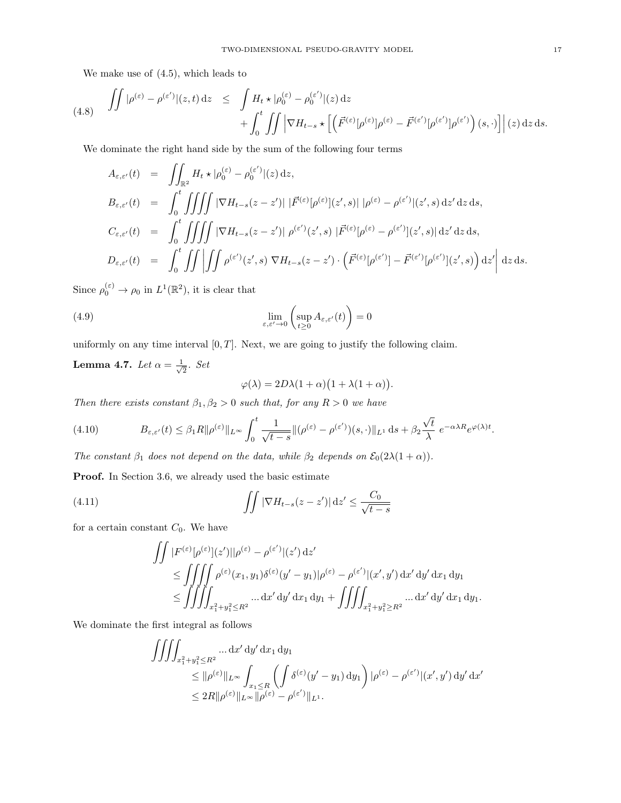We make use of (4.5), which leads to

$$
(4.8) \quad \iint |\rho^{(\varepsilon)} - \rho^{(\varepsilon')}|(z, t) dz \leq \int H_t \star |\rho_0^{(\varepsilon)} - \rho_0^{(\varepsilon')}|(z) dz + \int_0^t \iint |\nabla H_{t-s} \star [(\vec{F}^{(\varepsilon)}[\rho^{(\varepsilon)}]\rho^{(\varepsilon)} - \vec{F}^{(\varepsilon')}[\rho^{(\varepsilon')}]\rho^{(\varepsilon')})(s, \cdot)] | (z) dz ds.
$$

We dominate the right hand side by the sum of the following four terms

$$
A_{\varepsilon,\varepsilon'}(t) = \iint_{\mathbb{R}^2} H_t \star |\rho_0^{(\varepsilon)} - \rho_0^{(\varepsilon')}|(z) dz,
$$
  
\n
$$
B_{\varepsilon,\varepsilon'}(t) = \int_0^t \iiint \int |\nabla H_{t-s}(z-z')| |\vec{F}^{(\varepsilon)}[\rho^{(\varepsilon)}](z',s)| |\rho^{(\varepsilon)} - \rho^{(\varepsilon')}|(z',s) dz' dz ds,
$$
  
\n
$$
C_{\varepsilon,\varepsilon'}(t) = \int_0^t \iiint \int |\nabla H_{t-s}(z-z')| |\rho^{(\varepsilon')}(z',s)| |\vec{F}^{(\varepsilon)}[\rho^{(\varepsilon)} - \rho^{(\varepsilon')}](z',s)| dz' dz ds,
$$
  
\n
$$
D_{\varepsilon,\varepsilon'}(t) = \int_0^t \iiint \int \int \rho^{(\varepsilon')} (z',s) \nabla H_{t-s}(z-z') \cdot (\vec{F}^{(\varepsilon)}[\rho^{(\varepsilon')}] - \vec{F}^{(\varepsilon')}[\rho^{(\varepsilon')}](z',s)) dz' d z ds.
$$

Since  $\rho_0^{(\varepsilon)} \to \rho_0$  in  $L^1(\mathbb{R}^2)$ , it is clear that

(4.9) 
$$
\lim_{\varepsilon,\varepsilon'\to 0} \left( \sup_{t\geq 0} A_{\varepsilon,\varepsilon'}(t) \right) = 0
$$

uniformly on any time interval  $[0, T]$ . Next, we are going to justify the following claim.

**Lemma 4.7.** Let 
$$
\alpha = \frac{1}{\sqrt{2}}
$$
. Set  

$$
\varphi(\lambda) = 2D\lambda(1+\alpha)(1+\lambda(1+\alpha)).
$$

Then there exists constant  $\beta_1, \beta_2 > 0$  such that, for any  $R > 0$  we have

(4.10) 
$$
B_{\varepsilon,\varepsilon'}(t) \leq \beta_1 R \|\rho^{(\varepsilon)}\|_{L^\infty} \int_0^t \frac{1}{\sqrt{t-s}} \|(\rho^{(\varepsilon)} - \rho^{(\varepsilon')})(s,\cdot)\|_{L^1} ds + \beta_2 \frac{\sqrt{t}}{\lambda} e^{-\alpha\lambda R} e^{\varphi(\lambda)t}.
$$

The constant  $\beta_1$  does not depend on the data, while  $\beta_2$  depends on  $\mathcal{E}_0(2\lambda(1+\alpha))$ .

Proof. In Section 3.6, we already used the basic estimate

(4.11) 
$$
\int \int |\nabla H_{t-s}(z-z')| dz' \leq \frac{C_0}{\sqrt{t-s}}
$$

for a certain constant  $C_0$ . We have

$$
\iint |F^{(\varepsilon)}[\rho^{(\varepsilon)}](z')||\rho^{(\varepsilon)} - \rho^{(\varepsilon')}|(z') \,dz' \n\leq \iiint \rho^{(\varepsilon)}(x_1, y_1) \delta^{(\varepsilon)}(y'-y_1)|\rho^{(\varepsilon)} - \rho^{(\varepsilon')}|(x', y') \,dx' \,dy' \,dx_1 \,dy_1 \n\leq \iiint \int_{x_1^2 + y_1^2 \leq R^2} \dots dx' \,dy' \,dx_1 \,dy_1 + \iiint_{x_1^2 + y_1^2 \geq R^2} \dots dx' \,dy' \,dx_1 \,dy_1.
$$

We dominate the first integral as follows

$$
\iiint_{x_1^2 + y_1^2 \le R^2} \dots dx' dy' dx_1 dy_1
$$
  
\n
$$
\le \|\rho^{(\varepsilon)}\|_{L^\infty} \int_{x_1 \le R} \left( \int \delta^{(\varepsilon)}(y' - y_1) dy_1 \right) |\rho^{(\varepsilon)} - \rho^{(\varepsilon')}|(x', y') dy' dx'
$$
  
\n
$$
\le 2R \|\rho^{(\varepsilon)}\|_{L^\infty} \|\rho^{(\varepsilon)} - \rho^{(\varepsilon')} \|_{L^1}.
$$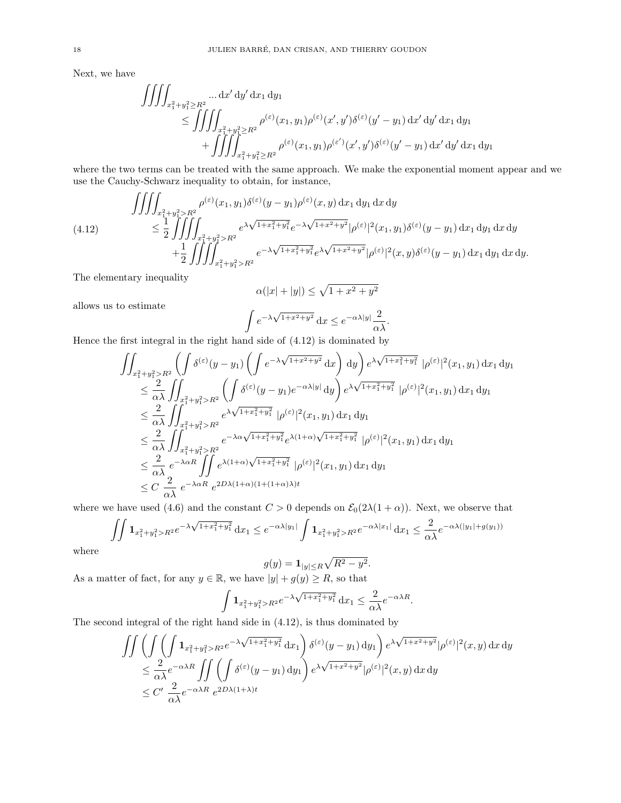Next, we have

$$
\iiint_{x_1^2 + y_1^2 \ge R^2} \dots dx' dy' dx_1 dy_1
$$
  
\n
$$
\le \iiint_{x_1^2 + y_1^2 \ge R^2} \rho^{(\varepsilon)}(x_1, y_1) \rho^{(\varepsilon)}(x', y') \delta^{(\varepsilon)}(y' - y_1) dx' dy' dx_1 dy_1
$$
  
\n
$$
+ \iiint_{x_1^2 + y_1^2 \ge R^2} \rho^{(\varepsilon)}(x_1, y_1) \rho^{(\varepsilon')}(x', y') \delta^{(\varepsilon)}(y' - y_1) dx' dy' dx_1 dy_1
$$

where the two terms can be treated with the same approach. We make the exponential moment appear and we use the Cauchy-Schwarz inequality to obtain, for instance,

$$
\iiint_{x_1^2+y_1^2>R^2} \rho^{(\varepsilon)}(x_1,y_1)\delta^{(\varepsilon)}(y-y_1)\rho^{(\varepsilon)}(x,y) dx_1 dy_1 dx dy
$$
\n
$$
\leq \frac{1}{2} \iiint_{x_1^2+y_1^2>R^2} e^{\lambda \sqrt{1+x_1^2+y_1^2}} e^{-\lambda \sqrt{1+x^2+y^2}} |\rho^{(\varepsilon)}|^2(x_1,y_1)\delta^{(\varepsilon)}(y-y_1) dx_1 dy_1 dx dy
$$
\n
$$
+ \frac{1}{2} \iiint_{x_1^2+y_1^2>R^2} e^{-\lambda \sqrt{1+x_1^2+y_1^2}} e^{\lambda \sqrt{1+x^2+y^2}} |\rho^{(\varepsilon)}|^2(x,y)\delta^{(\varepsilon)}(y-y_1) dx_1 dy_1 dx dy.
$$
\n(4.12)

The elementary inequality

$$
\alpha(|x| + |y|) \le \sqrt{1 + x^2 + y^2}
$$

allows us to estimate

$$
\int e^{-\lambda \sqrt{1+x^2+y^2}} dx \le e^{-\alpha \lambda |y|} \frac{2}{\alpha \lambda}.
$$

Hence the first integral in the right hand side of (4.12) is dominated by

$$
\iint_{x_1^2 + y_1^2 > R^2} \left( \int \delta^{(\varepsilon)} (y - y_1) \left( \int e^{-\lambda \sqrt{1 + x^2 + y^2}} dx \right) dy \right) e^{\lambda \sqrt{1 + x_1^2 + y_1^2}} |\rho^{(\varepsilon)}|^2 (x_1, y_1) dx_1 dy_1
$$
\n
$$
\leq \frac{2}{\alpha \lambda} \iint_{x_1^2 + y_1^2 > R^2} \left( \int \delta^{(\varepsilon)} (y - y_1) e^{-\alpha \lambda |y|} dy \right) e^{\lambda \sqrt{1 + x_1^2 + y_1^2}} |\rho^{(\varepsilon)}|^2 (x_1, y_1) dx_1 dy_1
$$
\n
$$
\leq \frac{2}{\alpha \lambda} \iint_{x_1^2 + y_1^2 > R^2} e^{\lambda \sqrt{1 + x_1^2 + y_1^2}} |\rho^{(\varepsilon)}|^2 (x_1, y_1) dx_1 dy_1
$$
\n
$$
\leq \frac{2}{\alpha \lambda} \iint_{x_1^2 + y_1^2 > R^2} e^{-\lambda \alpha \sqrt{1 + x_1^2 + y_1^2}} e^{\lambda (1 + \alpha) \sqrt{1 + x_1^2 + y_1^2}} |\rho^{(\varepsilon)}|^2 (x_1, y_1) dx_1 dy_1
$$
\n
$$
\leq \frac{2}{\alpha \lambda} e^{-\lambda \alpha R} \iint_{\alpha} e^{\lambda (1 + \alpha) \sqrt{1 + x_1^2 + y_1^2}} |\rho^{(\varepsilon)}|^2 (x_1, y_1) dx_1 dy_1
$$
\n
$$
\leq C \frac{2}{\alpha \lambda} e^{-\lambda \alpha R} e^{2D\lambda (1 + \alpha)(1 + (1 + \alpha)\lambda)t}
$$

where we have used (4.6) and the constant  $C > 0$  depends on  $\mathcal{E}_0(2\lambda(1+\alpha))$ . Next, we observe that

$$
\iint \mathbf{1}_{x_1^2 + y_1^2 > R^2} e^{-\lambda \sqrt{1 + x_1^2 + y_1^2}} dx_1 \le e^{-\alpha \lambda |y_1|} \int \mathbf{1}_{x_1^2 + y_1^2 > R^2} e^{-\alpha \lambda |x_1|} dx_1 \le \frac{2}{\alpha \lambda} e^{-\alpha \lambda (|y_1| + g(y_1))}
$$

where

$$
g(y) = \mathbf{1}_{|y| \le R} \sqrt{R^2 - y^2}.
$$

As a matter of fact, for any  $y \in \mathbb{R}$ , we have  $|y| + g(y) \ge R$ , so that

$$
\int \mathbf{1}_{x_1^2 + y_1^2 > R^2} e^{-\lambda \sqrt{1 + x_1^2 + y_1^2}} dx_1 \le \frac{2}{\alpha \lambda} e^{-\alpha \lambda R}.
$$

The second integral of the right hand side in (4.12), is thus dominated by

$$
\iint \left( \iint \left( \int \mathbf{1}_{x_1^2 + y_1^2 > R^2} e^{-\lambda \sqrt{1 + x_1^2 + y_1^2}} dx_1 \right) \delta^{(\varepsilon)}(y - y_1) dy_1 \right) e^{\lambda \sqrt{1 + x^2 + y^2}} |\rho^{(\varepsilon)}|^2(x, y) dx dy
$$
  
\n
$$
\leq \frac{2}{\alpha \lambda} e^{-\alpha \lambda R} \iint \left( \int \delta^{(\varepsilon)}(y - y_1) dy_1 \right) e^{\lambda \sqrt{1 + x^2 + y^2}} |\rho^{(\varepsilon)}|^2(x, y) dx dy
$$
  
\n
$$
\leq C' \frac{2}{\alpha \lambda} e^{-\alpha \lambda R} e^{2D\lambda (1 + \lambda)t}
$$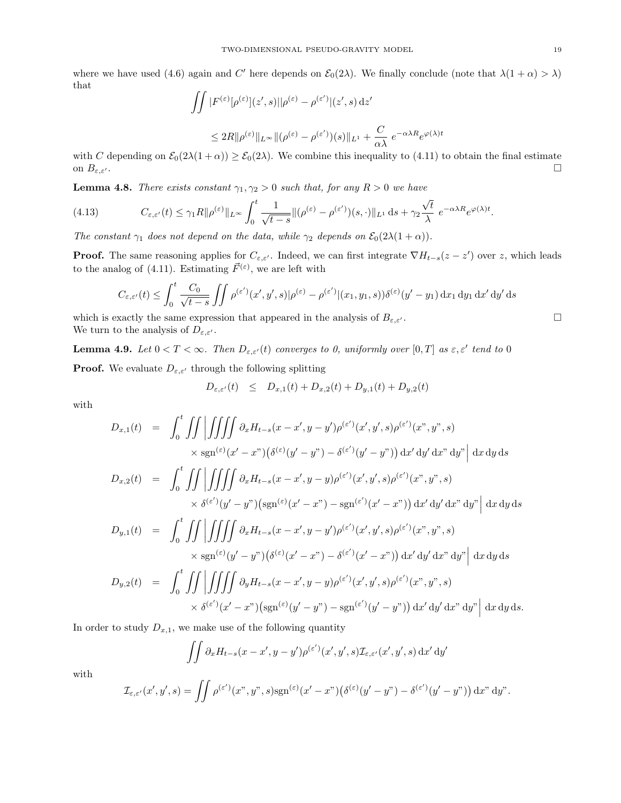where we have used (4.6) again and C' here depends on  $\mathcal{E}_0(2\lambda)$ . We finally conclude (note that  $\lambda(1+\alpha) > \lambda$ ) that

$$
\iint |F^{(\varepsilon)}[\rho^{(\varepsilon)}](z',s)||\rho^{(\varepsilon)} - \rho^{(\varepsilon')}|(z',s) dz'
$$
  

$$
\leq 2R ||\rho^{(\varepsilon)}||_{L^{\infty}} ||(\rho^{(\varepsilon)} - \rho^{(\varepsilon')})(s)||_{L^{1}} + \frac{C}{\alpha\lambda} e^{-\alpha\lambda R} e^{\varphi(\lambda)t}
$$

with C depending on  $\mathcal{E}_0(2\lambda(1+\alpha)) \geq \mathcal{E}_0(2\lambda)$ . We combine this inequality to (4.11) to obtain the final estimate on  $B_{\varepsilon,\varepsilon}$ .

**Lemma 4.8.** There exists constant  $\gamma_1, \gamma_2 > 0$  such that, for any  $R > 0$  we have

(4.13) 
$$
C_{\varepsilon,\varepsilon'}(t) \leq \gamma_1 R \|\rho^{(\varepsilon)}\|_{L^\infty} \int_0^t \frac{1}{\sqrt{t-s}} \|(\rho^{(\varepsilon)} - \rho^{(\varepsilon')})(s,\cdot)\|_{L^1} ds + \gamma_2 \frac{\sqrt{t}}{\lambda} e^{-\alpha\lambda R} e^{\varphi(\lambda)t}.
$$

The constant  $\gamma_1$  does not depend on the data, while  $\gamma_2$  depends on  $\mathcal{E}_0(2\lambda(1+\alpha))$ .

**Proof.** The same reasoning applies for  $C_{\varepsilon,\varepsilon}$ . Indeed, we can first integrate  $\nabla H_{t-s}(z-z')$  over z, which leads to the analog of (4.11). Estimating  $\vec{F}^{(\varepsilon)}$ , we are left with

$$
C_{\varepsilon,\varepsilon'}(t) \le \int_0^t \frac{C_0}{\sqrt{t-s}} \iint \rho^{(\varepsilon')}(x',y',s)|\rho^{(\varepsilon)} - \rho^{(\varepsilon')}|(x_1,y_1,s))\delta^{(\varepsilon)}(y'-y_1) dx_1 dy_1 dx' dy' ds
$$

which is exactly the same expression that appeared in the analysis of  $B_{\varepsilon,\varepsilon'}$ . We turn to the analysis of  $D_{\varepsilon,\varepsilon}$ .

**Lemma 4.9.** Let  $0 < T < \infty$ . Then  $D_{\varepsilon,\varepsilon'}(t)$  converges to 0, uniformly over  $[0,T]$  as  $\varepsilon,\varepsilon'$  tend to 0 **Proof.** We evaluate  $D_{\varepsilon,\varepsilon}$  through the following splitting

$$
D_{\varepsilon,\varepsilon'}(t) \leq D_{x,1}(t) + D_{x,2}(t) + D_{y,1}(t) + D_{y,2}(t)
$$

with

$$
D_{x,1}(t) = \int_0^t \int \int \int \int \int \int \partial_x H_{t-s}(x-x',y-y')\rho^{(\varepsilon')}(x',y',s)\rho^{(\varepsilon')}(x'',y'',s)
$$
  
\n
$$
\times \operatorname{sgn}^{(\varepsilon)}(x'-x'')(\delta^{(\varepsilon)}(y'-y'')-\delta^{(\varepsilon')}(y'-y'')) dx'dy'dx'' dy'' \Big| dx dy ds
$$
  
\n
$$
D_{x,2}(t) = \int_0^t \int \int \int \int \int \int \partial_x H_{t-s}(x-x',y-y)\rho^{(\varepsilon')}(x',y',s)\rho^{(\varepsilon')}(x'',y'',s)
$$
  
\n
$$
\times \delta^{(\varepsilon')}(y'-y'')(\operatorname{sgn}^{(\varepsilon)}(x'-x'')-\operatorname{sgn}^{(\varepsilon')}(x'-x'')) dx'dy'dx'' dy'' \Big| dx dy ds
$$
  
\n
$$
D_{y,1}(t) = \int_0^t \int \int \int \int \int \int \partial_x H_{t-s}(x-x',y-y')\rho^{(\varepsilon')}(x',y',s)\rho^{(\varepsilon')}(x'',y'',s)
$$
  
\n
$$
\times \operatorname{sgn}^{(\varepsilon)}(y'-y'')(\delta^{(\varepsilon)}(x'-x'')-\delta^{(\varepsilon')}(x'-x'')) dx'dy'dx'' dy'' \Big| dx dy ds
$$
  
\n
$$
D_{y,2}(t) = \int_0^t \int \int \int \int \int \int \partial_y H_{t-s}(x-x',y-y)\rho^{(\varepsilon')}(x',y',s)\rho^{(\varepsilon')}(x'',y'',s)
$$
  
\n
$$
\times \delta^{(\varepsilon')}(x'-x'')(\operatorname{sgn}^{(\varepsilon)}(y'-y'')-\operatorname{sgn}^{(\varepsilon')}(y'-y'')) dx'dy'dx'' dy'' \Big| dx dy ds.
$$

In order to study  $D_{x,1}$ , we make use of the following quantity

$$
\iint \partial_x H_{t-s}(x-x',y-y')\rho^{(\varepsilon')}(x',y',s)\mathcal{I}_{\varepsilon,\varepsilon'}(x',y',s)\,\mathrm{d}x'\,\mathrm{d}y'
$$

with

$$
\mathcal{I}_{\varepsilon,\varepsilon'}(x',y',s) = \iint \rho^{(\varepsilon')}(x'',y'',s) \operatorname{sgn}^{(\varepsilon)}(x'-x'')(\delta^{(\varepsilon)}(y'-y'') - \delta^{(\varepsilon')}(y'-y'')) dx'' dy''.
$$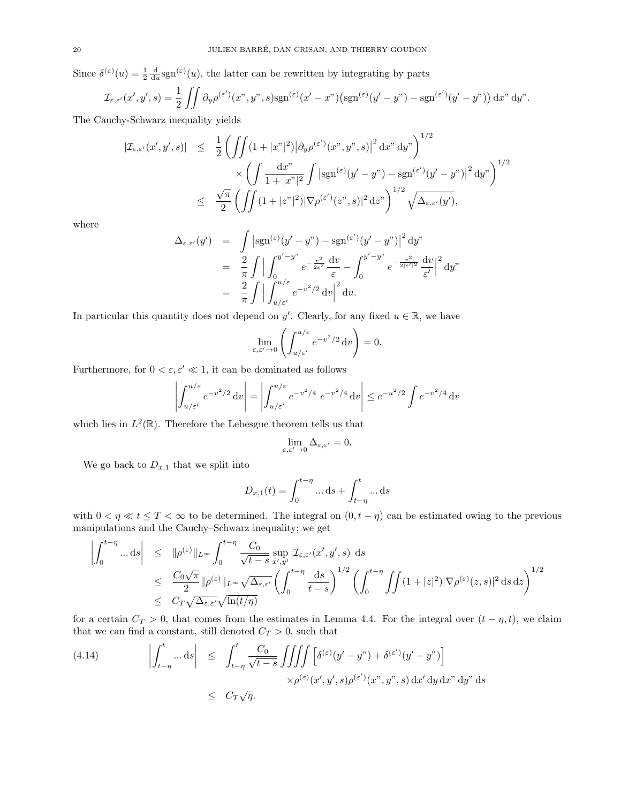Since  $\delta^{(\varepsilon)}(u) = \frac{1}{2} \frac{d}{du} sgn^{(\varepsilon)}(u)$ , the latter can be rewritten by integrating by parts

$$
\mathcal{I}_{\varepsilon,\varepsilon'}(x',y',s) = \frac{1}{2} \iint \partial_y \rho^{(\varepsilon')}(x'',y'',s) \operatorname{sgn}^{(\varepsilon)}(x'-x'') \bigl( \operatorname{sgn}^{(\varepsilon)}(y'-y'') - \operatorname{sgn}^{(\varepsilon')}(y'-y'') \bigr) \, dx'' \, dy''.
$$

The Cauchy-Schwarz inequality yields

$$
\begin{array}{lcl} |\mathcal{I}_{\varepsilon,\varepsilon'}(x',y',s)| & \leq & \displaystyle \frac{1}{2} \left( \iint (1+|x^{\nu}|^2) \big| \partial_y \rho^{(\varepsilon')}(x^{\nu},y^{\nu},s) \big|^2 \, \mathrm{d}x^{\nu} \, \mathrm{d}y^{\nu} \right)^{1/2} \\ & & \times \left( \int \frac{\mathrm{d}x^{\nu}}{1+|x^{\nu}|^2} \int \big| \mathrm{sgn}^{(\varepsilon)}(y'-y^{\nu}) - \mathrm{sgn}^{(\varepsilon')}(y'-y^{\nu}) \big|^2 \, \mathrm{d}y^{\nu} \right)^{1/2} \\ & \leq & \displaystyle \frac{\sqrt{\pi}}{2} \left( \iint (1+|z^{\nu}|^2) |\nabla \rho^{(\varepsilon')}(z^{\nu},s)|^2 \, \mathrm{d}z^{\nu} \right)^{1/2} \sqrt{\Delta_{\varepsilon,\varepsilon'}(y')}, \end{array}
$$

where

$$
\Delta_{\varepsilon,\varepsilon'}(y') = \int |\operatorname{sgn}^{(\varepsilon)}(y'-y'') - \operatorname{sgn}^{(\varepsilon')}(y'-y'')|^2 dy''
$$
  
\n
$$
= \frac{2}{\pi} \int \Big| \int_0^{y'-y''} e^{-\frac{v^2}{2\varepsilon^2}} \frac{dv}{\varepsilon} - \int_0^{y'-y''} e^{-\frac{v^2}{2|\varepsilon'|^2}} \frac{dv}{\varepsilon'} \Big|^2 dy''
$$
  
\n
$$
= \frac{2}{\pi} \int \Big| \int_{u/\varepsilon'}^{u/\varepsilon} e^{-v^2/2} dv \Big|^2 du.
$$

In particular this quantity does not depend on y'. Clearly, for any fixed  $u \in \mathbb{R}$ , we have

$$
\lim_{\varepsilon,\varepsilon'\to 0}\left(\int_{u/\varepsilon'}^{u/\varepsilon}e^{-v^2/2}\,\mathrm{d}v\right)=0.
$$

Furthermore, for  $0 < \varepsilon, \varepsilon' \ll 1$ , it can be dominated as follows

$$
\left| \int_{u/\varepsilon'}^{u/\varepsilon} e^{-v^2/2} dv \right| = \left| \int_{u/\varepsilon'}^{u/\varepsilon} e^{-v^2/4} e^{-v^2/4} dv \right| \le e^{-u^2/2} \int e^{-v^2/4} dv
$$

which lies in  $L^2(\mathbb{R})$ . Therefore the Lebesgue theorem tells us that

$$
\lim_{\varepsilon,\varepsilon'\to 0}\Delta_{\varepsilon,\varepsilon'}=0.
$$

We go back to  $D_{x,1}$  that we split into

$$
D_{x,1}(t) = \int_0^{t-\eta} \dots \, \mathrm{d}s + \int_{t-\eta}^t \dots \, \mathrm{d}s
$$

with  $0 < \eta \ll t \leq T < \infty$  to be determined. The integral on  $(0, t - \eta)$  can be estimated owing to the previous manipulations and the Cauchy–Schwarz inequality; we get

$$
\left| \int_0^{t-\eta} \dots ds \right| \leq \| \rho^{(\varepsilon)} \|_{L^\infty} \int_0^{t-\eta} \frac{C_0}{\sqrt{t-s}} \sup_{x',y'} |\mathcal{I}_{\varepsilon,\varepsilon'}(x',y',s)| ds
$$
  
\n
$$
\leq \frac{C_0 \sqrt{\pi}}{2} \| \rho^{(\varepsilon)} \|_{L^\infty} \sqrt{\Delta_{\varepsilon,\varepsilon'}} \left( \int_0^{t-\eta} \frac{ds}{t-s} \right)^{1/2} \left( \int_0^{t-\eta} \int f(1+|z|^2) |\nabla \rho^{(\varepsilon)}(z,s)|^2 ds dz \right)^{1/2}
$$
  
\n
$$
\leq C_T \sqrt{\Delta_{\varepsilon,\varepsilon'}} \sqrt{\ln(t/\eta)}
$$

for a certain  $C_T > 0$ , that comes from the estimates in Lemma 4.4. For the integral over  $(t - \eta, t)$ , we claim that we can find a constant, still denoted  $C_T > 0$ , such that

(4.14) 
$$
\left| \int_{t-\eta}^{t} \dots ds \right| \leq \int_{t-\eta}^{t} \frac{C_0}{\sqrt{t-s}} \iiint \left[ \delta^{(\varepsilon)}(y'-y'') + \delta^{(\varepsilon')}(y'-y'') \right] \times \rho^{(\varepsilon)}(x',y',s) \rho^{(\varepsilon')}(x'',y'',s) dx' dy dx'' dy ds
$$

$$
\leq C_T \sqrt{\eta}.
$$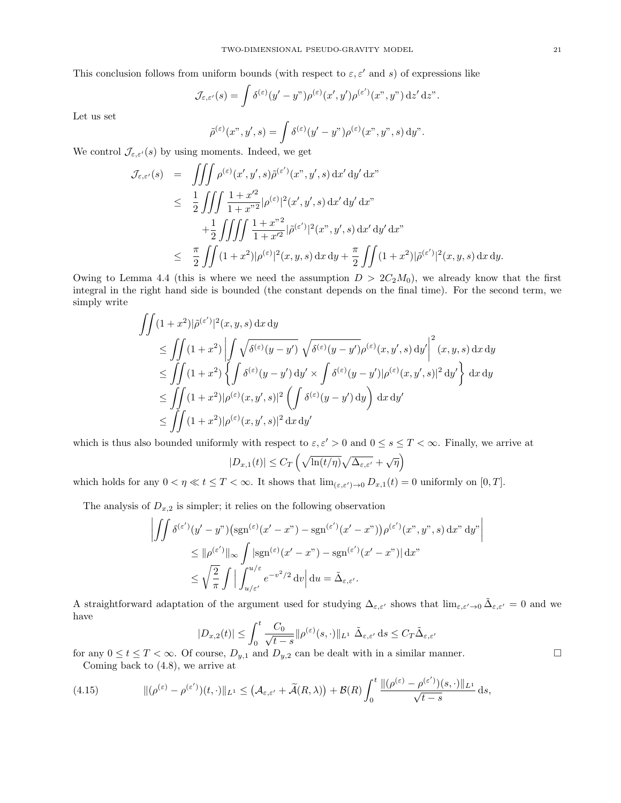This conclusion follows from uniform bounds (with respect to  $\varepsilon, \varepsilon'$  and s) of expressions like

$$
\mathcal{J}_{\varepsilon,\varepsilon'}(s) = \int \delta^{(\varepsilon)}(y'-y'') \rho^{(\varepsilon)}(x',y') \rho^{(\varepsilon')}(x'',y'') dz' dz''.
$$

Let us set

$$
\tilde{\rho}^{(\varepsilon)}(x^{\nu}, y', s) = \int \delta^{(\varepsilon)}(y' - y^{\nu}) \rho^{(\varepsilon)}(x^{\nu}, y^{\nu}, s) dy^{\nu}.
$$

We control  $\mathcal{J}_{\varepsilon,\varepsilon'}(s)$  by using moments. Indeed, we get

$$
\mathcal{J}_{\varepsilon,\varepsilon'}(s) = \iiint \rho^{(\varepsilon)}(x',y',s)\tilde{\rho}^{(\varepsilon')}(x'',y',s) dx' dy' dx''
$$
  
\n
$$
\leq \frac{1}{2} \iiint \frac{1+x'^2}{1+x'^2} |\rho^{(\varepsilon)}|^2(x',y',s) dx' dy' dx''
$$
  
\n
$$
+ \frac{1}{2} \iiint \int \frac{1+x''^2}{1+x'^2} |\tilde{\rho}^{(\varepsilon')}|^2(x'',y',s) dx' dy' dx''
$$
  
\n
$$
\leq \frac{\pi}{2} \iint (1+x^2) |\rho^{(\varepsilon)}|^2(x,y,s) dx dy + \frac{\pi}{2} \iint (1+x^2) |\tilde{\rho}^{(\varepsilon')}|^2(x,y,s) dx dy.
$$

Owing to Lemma 4.4 (this is where we need the assumption  $D > 2C_2M_0$ ), we already know that the first integral in the right hand side is bounded (the constant depends on the final time). For the second term, we simply write

$$
\iint (1+x^2)|\tilde{\rho}^{(\varepsilon')}|^2(x,y,s) dx dy
$$
\n
$$
\leq \iint (1+x^2) \left| \int \sqrt{\delta^{(\varepsilon)}(y-y')} \sqrt{\delta^{(\varepsilon)}(y-y')} \rho^{(\varepsilon)}(x,y',s) dy' \right|^2 (x,y,s) dx dy
$$
\n
$$
\leq \iint (1+x^2) \left\{ \int \delta^{(\varepsilon)}(y-y') dy' \times \int \delta^{(\varepsilon)}(y-y') |\rho^{(\varepsilon)}(x,y',s)|^2 dy' \right\} dx dy
$$
\n
$$
\leq \iint (1+x^2)|\rho^{(\varepsilon)}(x,y',s)|^2 \left( \int \delta^{(\varepsilon)}(y-y') dy \right) dx dy'
$$
\n
$$
\leq \iint (1+x^2)|\rho^{(\varepsilon)}(x,y',s)|^2 dx dy'
$$

which is thus also bounded uniformly with respect to  $\varepsilon, \varepsilon' > 0$  and  $0 \le s \le T < \infty$ . Finally, we arrive at

$$
|D_{x,1}(t)| \leq C_T \left(\sqrt{\ln(t/\eta)}\sqrt{\Delta_{\varepsilon,\varepsilon'}} + \sqrt{\eta}\right)
$$

which holds for any  $0 < \eta \ll t \leq T < \infty$ . It shows that  $\lim_{(\varepsilon, \varepsilon') \to 0} D_{x,1}(t) = 0$  uniformly on  $[0, T]$ .

The analysis of  $D_{x,2}$  is simpler; it relies on the following observation

$$
\left| \iint \delta^{(\varepsilon')} (y' - y'') \left( \operatorname{sgn}^{(\varepsilon)} (x' - x'') - \operatorname{sgn}^{(\varepsilon')} (x' - x'') \right) \rho^{(\varepsilon')} (x'', y'', s) \, dx'' \, dy'' \right|
$$
  

$$
\leq \| \rho^{(\varepsilon')} \|_{\infty} \int |\operatorname{sgn}^{(\varepsilon)} (x' - x'') - \operatorname{sgn}^{(\varepsilon')} (x' - x'')| \, dx''
$$
  

$$
\leq \sqrt{\frac{2}{\pi}} \int \left| \int_{u/\varepsilon'}^{u/\varepsilon} e^{-v^2/2} \, dv \right| du = \tilde{\Delta}_{\varepsilon, \varepsilon'}.
$$

A straightforward adaptation of the argument used for studying  $\Delta_{\varepsilon,\varepsilon'}$  shows that  $\lim_{\varepsilon,\varepsilon'\to 0} \tilde{\Delta}_{\varepsilon,\varepsilon'} = 0$  and we have

$$
|D_{x,2}(t)| \le \int_0^t \frac{C_0}{\sqrt{t-s}} \|\rho^{(\varepsilon)}(s,\cdot)\|_{L^1} \, \tilde{\Delta}_{\varepsilon,\varepsilon'} \, \mathrm{d}s \le C_T \tilde{\Delta}_{\varepsilon,\varepsilon'}
$$

for any  $0 \le t \le T < \infty$ . Of course,  $D_{y,1}$  and  $D_{y,2}$  can be dealt with in a similar manner. Coming back to (4.8), we arrive at

$$
(4.15) \qquad \qquad ||(\rho^{(\varepsilon)} - \rho^{(\varepsilon')})(t, \cdot)||_{L^1} \leq \left(\mathcal{A}_{\varepsilon, \varepsilon'} + \widetilde{\mathcal{A}}(R, \lambda)\right) + \mathcal{B}(R) \int_0^t \frac{||(\rho^{(\varepsilon)} - \rho^{(\varepsilon')})(s, \cdot)||_{L^1}}{\sqrt{t-s}} \, \mathrm{d}s,
$$

 $\bigg\}$  $\overline{\phantom{a}}$  $\overline{\phantom{a}}$  $\vert$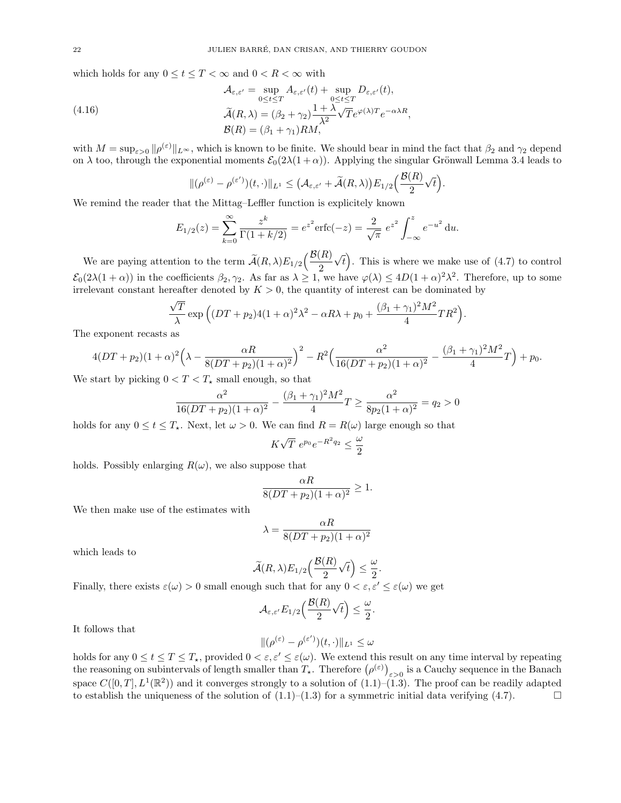which holds for any  $0 \le t \le T < \infty$  and  $0 < R < \infty$  with

(4.16)  
\n
$$
\mathcal{A}_{\varepsilon,\varepsilon'} = \sup_{0 \le t \le T} A_{\varepsilon,\varepsilon'}(t) + \sup_{0 \le t \le T} D_{\varepsilon,\varepsilon'}(t),
$$
\n
$$
\widetilde{\mathcal{A}}(R,\lambda) = (\beta_2 + \gamma_2) \frac{1 + \lambda}{\lambda^2} \sqrt{T} e^{\varphi(\lambda)T} e^{-\alpha\lambda R},
$$
\n
$$
\mathcal{B}(R) = (\beta_1 + \gamma_1) RM,
$$

with  $M = \sup_{\varepsilon>0} \|\rho^{(\varepsilon)}\|_{L^{\infty}}$ , which is known to be finite. We should bear in mind the fact that  $\beta_2$  and  $\gamma_2$  depend on  $\lambda$  too, through the exponential moments  $\mathcal{E}_0(2\lambda(1+\alpha))$ . Applying the singular Grönwall Lemma 3.4 leads to

$$
\|(\rho^{(\varepsilon)}-\rho^{(\varepsilon')})(t,\cdot)\|_{L^1}\leq \big(\mathcal{A}_{\varepsilon,\varepsilon'}+\widetilde{\mathcal{A}}(R,\lambda)\big)E_{1/2}\Big(\frac{\mathcal{B}(R)}{2}\sqrt{t}\Big).
$$

We remind the reader that the Mittag–Leffler function is explicitely known

$$
E_{1/2}(z) = \sum_{k=0}^{\infty} \frac{z^k}{\Gamma(1+k/2)} = e^{z^2} \operatorname{erfc}(-z) = \frac{2}{\sqrt{\pi}} e^{z^2} \int_{-\infty}^{z} e^{-u^2} du.
$$

We are paying attention to the term  $\widetilde{A}(R,\lambda)E_{1/2}\left(\frac{\mathcal{B}(R)}{2}\right)$ 2 √  $\overline{t}$ ). This is where we make use of (4.7) to control  $\mathcal{E}_0(2\lambda(1+\alpha))$  in the coefficients  $\beta_2, \gamma_2$ . As far as  $\lambda \geq 1$ , we have  $\varphi(\lambda) \leq 4D(1+\alpha)^2\lambda^2$ . Therefore, up to some irrelevant constant hereafter denoted by  $K > 0$ , the quantity of interest can be dominated by

$$
\frac{\sqrt{T}}{\lambda} \exp\left( (DT+p_2)4(1+\alpha)^2 \lambda^2 - \alpha R \lambda + p_0 + \frac{(\beta_1 + \gamma_1)^2 M^2}{4} T R^2 \right).
$$

The exponent recasts as

$$
4(DT+p_2)(1+\alpha)^2\left(\lambda-\frac{\alpha R}{8(DT+p_2)(1+\alpha)^2}\right)^2-R^2\left(\frac{\alpha^2}{16(DT+p_2)(1+\alpha)^2}-\frac{(\beta_1+\gamma_1)^2M^2}{4}T\right)+p_0.
$$

We start by picking  $0 < T < T_{\star}$  small enough, so that

$$
\frac{\alpha^2}{16(DT + p_2)(1 + \alpha)^2} - \frac{(\beta_1 + \gamma_1)^2 M^2}{4} T \ge \frac{\alpha^2}{8p_2(1 + \alpha)^2} = q_2 > 0
$$

holds for any  $0 \le t \le T_{\star}$ . Next, let  $\omega > 0$ . We can find  $R = R(\omega)$  large enough so that

$$
K\sqrt{T} e^{p_0}e^{-R^2q_2} \le \frac{\omega}{2}
$$

holds. Possibly enlarging  $R(\omega)$ , we also suppose that

$$
\frac{\alpha R}{8(DT+p_2)(1+\alpha)^2} \ge 1.
$$

We then make use of the estimates with

$$
\lambda = \frac{\alpha R}{8(DT + p_2)(1 + \alpha)^2}
$$

which leads to

$$
\widetilde{\mathcal{A}}(R,\lambda)E_{1/2}\Big(\frac{\mathcal{B}(R)}{2}\sqrt{t}\Big)\leq \frac{\omega}{2}.
$$

Finally, there exists  $\varepsilon(\omega) > 0$  small enough such that for any  $0 < \varepsilon, \varepsilon' \leq \varepsilon(\omega)$  we get

$$
\mathcal{A}_{\varepsilon,\varepsilon'}E_{1/2}\Big(\frac{\mathcal{B}(R)}{2}\sqrt{t}\Big)\leq\frac{\omega}{2}
$$

.

It follows that

$$
\|(\rho^{(\varepsilon)}-\rho^{(\varepsilon')})(t,\cdot)\|_{L^1}\leq\omega
$$

holds for any  $0 \le t \le T \le T_{\star}$ , provided  $0 < \varepsilon, \varepsilon' \le \varepsilon(\omega)$ . We extend this result on any time interval by repeating the reasoning on subintervals of length smaller than  $T_{\star}$ . Therefore  $(\rho^{(\varepsilon)})_{\varepsilon>0}$  is a Cauchy sequence in the Banach space  $C([0,T], L^1(\mathbb{R}^2))$  and it converges strongly to a solution of  $(1.1)$ – $(1.3)$ . The proof can be readily adapted to establish the uniqueness of the solution of  $(1.1)$ – $(1.3)$  for a symmetric initial data verifying  $(4.7)$ .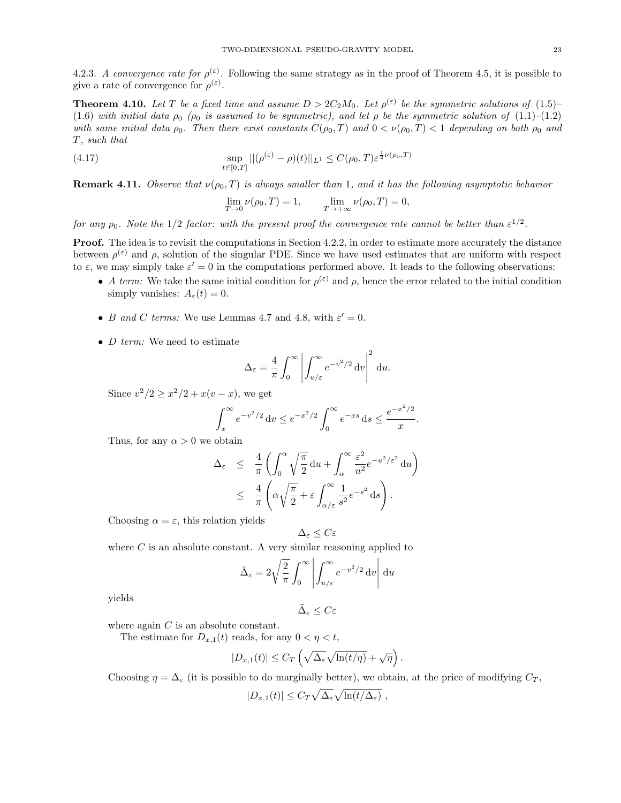4.2.3. A convergence rate for  $\rho^{(\varepsilon)}$ . Following the same strategy as in the proof of Theorem 4.5, it is possible to give a rate of convergence for  $\rho^{(\varepsilon)}$ .

**Theorem 4.10.** Let T be a fixed time and assume  $D > 2C_2M_0$ . Let  $\rho^{(\varepsilon)}$  be the symmetric solutions of  $(1.5)$ -(1.6) with initial data  $\rho_0$  ( $\rho_0$  is assumed to be symmetric), and let  $\rho$  be the symmetric solution of (1.1)–(1.2) with same initial data  $\rho_0$ . Then there exist constants  $C(\rho_0, T)$  and  $0 < \nu(\rho_0, T) < 1$  depending on both  $\rho_0$  and T, such that

(4.17) 
$$
\sup_{t \in [0,T]} ||(\rho^{(\varepsilon)} - \rho)(t)||_{L^1} \le C(\rho_0, T) \varepsilon^{\frac{1}{2}\nu(\rho_0, T)}
$$

**Remark 4.11.** Observe that  $\nu(\rho_0, T)$  is always smaller than 1, and it has the following asymptotic behavior

$$
\lim_{T \to 0} \nu(\rho_0, T) = 1, \qquad \lim_{T \to +\infty} \nu(\rho_0, T) = 0,
$$

for any  $\rho_0$ . Note the 1/2 factor: with the present proof the convergence rate cannot be better than  $\varepsilon^{1/2}$ .

Proof. The idea is to revisit the computations in Section 4.2.2, in order to estimate more accurately the distance between  $\rho^{(\varepsilon)}$  and  $\rho$ , solution of the singular PDE. Since we have used estimates that are uniform with respect to  $\varepsilon$ , we may simply take  $\varepsilon' = 0$  in the computations performed above. It leads to the following observations:

- A term: We take the same initial condition for  $\rho^{(\varepsilon)}$  and  $\rho$ , hence the error related to the initial condition simply vanishes:  $A_{\varepsilon}(t) = 0$ .
- B and C terms: We use Lemmas 4.7 and 4.8, with  $\varepsilon' = 0$ .
- *D term:* We need to estimate

$$
\Delta_{\varepsilon} = \frac{4}{\pi} \int_0^{\infty} \left| \int_{u/\varepsilon}^{\infty} e^{-v^2/2} dv \right|^2 du.
$$

Since  $v^2/2 \ge x^2/2 + x(v - x)$ , we get

$$
\int_{x}^{\infty} e^{-v^2/2} dv \le e^{-x^2/2} \int_{0}^{\infty} e^{-xs} ds \le \frac{e^{-x^2/2}}{x}.
$$

Thus, for any  $\alpha > 0$  we obtain

$$
\Delta_{\varepsilon} \leq \frac{4}{\pi} \left( \int_0^{\alpha} \sqrt{\frac{\pi}{2}} \, du + \int_{\alpha}^{\infty} \frac{\varepsilon^2}{u^2} e^{-u^2/\varepsilon^2} \, du \right) \n\leq \frac{4}{\pi} \left( \alpha \sqrt{\frac{\pi}{2}} + \varepsilon \int_{\alpha/\varepsilon}^{\infty} \frac{1}{s^2} e^{-s^2} \, ds \right).
$$

Choosing  $\alpha = \varepsilon$ , this relation yields

$$
\Delta_{\varepsilon} \leq C \varepsilon
$$

where  $C$  is an absolute constant. A very similar reasoning applied to

$$
\tilde{\Delta}_{\varepsilon} = 2\sqrt{\frac{2}{\pi}} \int_0^{\infty} \left| \int_{u/\varepsilon}^{\infty} e^{-v^2/2} dv \right| du
$$

yields

$$
\tilde{\Delta}_{\varepsilon}\leq C\varepsilon
$$

where again  $C$  is an absolute constant.

The estimate for  $D_{x,1}(t)$  reads, for any  $0 < \eta < t$ ,

$$
|D_{x,1}(t)| \leq C_T \left(\sqrt{\Delta_{\varepsilon}} \sqrt{\ln(t/\eta)} + \sqrt{\eta}\right).
$$

Choosing  $\eta = \Delta_{\varepsilon}$  (it is possible to do marginally better), we obtain, at the price of modifying  $C_T$ ,

$$
|D_{x,1}(t)| \leq C_T \sqrt{\Delta_{\varepsilon}} \sqrt{\ln(t/\Delta_{\varepsilon})},
$$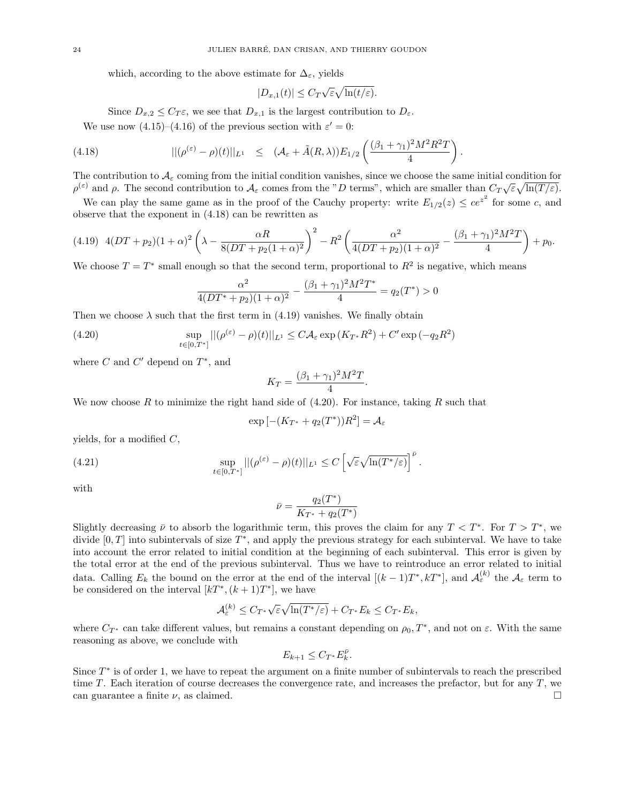which, according to the above estimate for  $\Delta_{\varepsilon}$ , yields

$$
|D_{x,1}(t)| \le C_T \sqrt{\varepsilon} \sqrt{\ln(t/\varepsilon)}.
$$

Since  $D_{x,2} \leq C_T \varepsilon$ , we see that  $D_{x,1}$  is the largest contribution to  $D_{\varepsilon}$ . We use now  $(4.15)$ – $(4.16)$  of the previous section with  $\varepsilon' = 0$ :

(4.18) 
$$
||(\rho^{(\varepsilon)} - \rho)(t)||_{L^{1}} \leq (\mathcal{A}_{\varepsilon} + \tilde{A}(R,\lambda))E_{1/2}\left(\frac{(\beta_{1} + \gamma_{1})^{2}M^{2}R^{2}T}{4}\right).
$$

The contribution to  $\mathcal{A}_{\varepsilon}$  coming from the initial condition vanishes, since we choose the same initial condition for  $\rho^{(\varepsilon)}$  and  $\rho$ . The second contribution to  $\mathcal{A}_{\varepsilon}$  comes from the "D terms", which are smaller than  $C_T\sqrt{\varepsilon}\sqrt{\ln(T/\varepsilon)}$ .

We can play the same game as in the proof of the Cauchy property: write  $E_{1/2}(z) \le ce^{z^2}$  for some c, and observe that the exponent in (4.18) can be rewritten as

$$
(4.19) \quad 4(DT+p_2)(1+\alpha)^2\left(\lambda-\frac{\alpha R}{8(DT+p_2(1+\alpha)^2)}\right)^2-R^2\left(\frac{\alpha^2}{4(DT+p_2)(1+\alpha)^2}-\frac{(\beta_1+\gamma_1)^2M^2T}{4}\right)+p_0.
$$

We choose  $T = T^*$  small enough so that the second term, proportional to  $R^2$  is negative, which means

$$
\frac{\alpha^2}{4(DT^* + p_2)(1+\alpha)^2} - \frac{(\beta_1 + \gamma_1)^2 M^2 T^*}{4} = q_2(T^*) > 0
$$

Then we choose  $\lambda$  such that the first term in (4.19) vanishes. We finally obtain

(4.20) 
$$
\sup_{t\in[0,T^*]}||(\rho^{(\varepsilon)}-\rho)(t)||_{L^1}\leq C\mathcal{A}_{\varepsilon}\exp\left(K_{T^*}R^2\right)+C'\exp\left(-q_2R^2\right)
$$

where  $C$  and  $C'$  depend on  $T^*$ , and

$$
K_T = \frac{(\beta_1 + \gamma_1)^2 M^2 T}{4}.
$$

We now choose R to minimize the right hand side of  $(4.20)$ . For instance, taking R such that

$$
\exp\left[-(K_{T^*} + q_2(T^*))R^2\right] = \mathcal{A}_{\varepsilon}
$$

yields, for a modified  $C$ ,

(4.21) 
$$
\sup_{t\in[0,T^*]}||(\rho^{(\varepsilon)}-\rho)(t)||_{L^1}\leq C\left[\sqrt{\varepsilon}\sqrt{\ln(T^*/\varepsilon)}\right]^{\bar{\nu}}.
$$

with

$$
\bar{\nu} = \frac{q_2(T^*)}{K_{T^*} + q_2(T^*)}
$$

Slightly decreasing  $\bar{\nu}$  to absorb the logarithmic term, this proves the claim for any  $T < T^*$ . For  $T > T^*$ , we divide  $[0,T]$  into subintervals of size  $T^*$ , and apply the previous strategy for each subinterval. We have to take into account the error related to initial condition at the beginning of each subinterval. This error is given by the total error at the end of the previous subinterval. Thus we have to reintroduce an error related to initial data. Calling  $E_k$  the bound on the error at the end of the interval  $[(k-1)T^*, kT^*]$ , and  $\mathcal{A}_{\varepsilon}^{(k)}$  the  $\mathcal{A}_{\varepsilon}$  term to be considered on the interval  $[kT^*, (k+1)T^*]$ , we have

$$
\mathcal{A}_\varepsilon^{(k)} \leq C_{T^*}\sqrt{\varepsilon}\sqrt{\ln(T^*/\varepsilon)} + C_{T^*}E_k \leq C_{T^*}E_k,
$$

where  $C_{T^*}$  can take different values, but remains a constant depending on  $\rho_0, T^*$ , and not on  $\varepsilon$ . With the same reasoning as above, we conclude with

$$
E_{k+1} \leq C_{T^*} E_k^{\bar{\nu}}.
$$

Since  $T^*$  is of order 1, we have to repeat the argument on a finite number of subintervals to reach the prescribed time T. Each iteration of course decreases the convergence rate, and increases the prefactor, but for any T, we can guarantee a finite  $\nu$ , as claimed.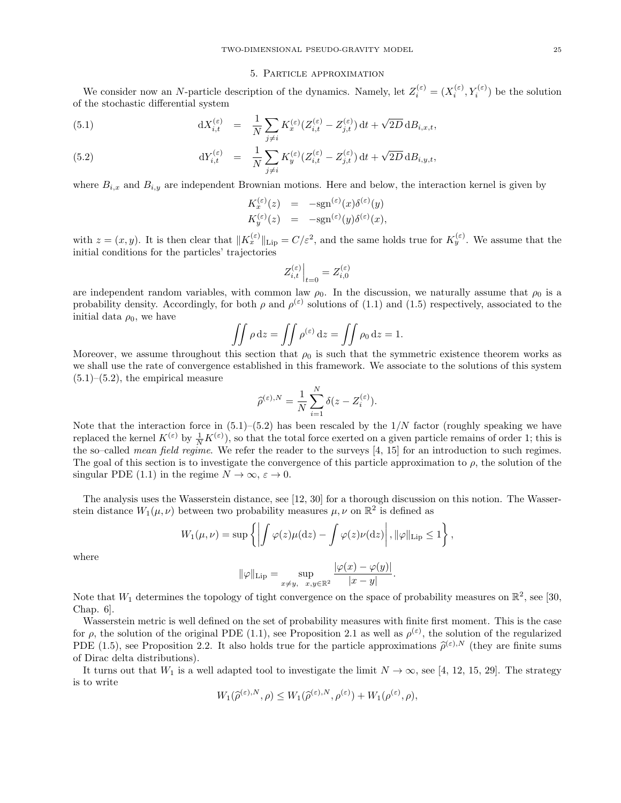#### 5. Particle approximation

We consider now an N-particle description of the dynamics. Namely, let  $Z_i^{(\varepsilon)} = (X_i^{(\varepsilon)}, Y_i^{(\varepsilon)})$  be the solution of the stochastic differential system

(5.1) 
$$
dX_{i,t}^{(\varepsilon)} = \frac{1}{N} \sum_{j \neq i} K_x^{(\varepsilon)} (Z_{i,t}^{(\varepsilon)} - Z_{j,t}^{(\varepsilon)}) dt + \sqrt{2D} dB_{i,x,t},
$$

(5.2) 
$$
dY_{i,t}^{(\varepsilon)} = \frac{1}{N} \sum_{j \neq i} K_y^{(\varepsilon)} (Z_{i,t}^{(\varepsilon)} - Z_{j,t}^{(\varepsilon)}) dt + \sqrt{2D} dB_{i,y,t},
$$

where  $B_{i,x}$  and  $B_{i,y}$  are independent Brownian motions. Here and below, the interaction kernel is given by

$$
K_x^{(\varepsilon)}(z) = -\text{sgn}^{(\varepsilon)}(x)\delta^{(\varepsilon)}(y)
$$
  
\n
$$
K_y^{(\varepsilon)}(z) = -\text{sgn}^{(\varepsilon)}(y)\delta^{(\varepsilon)}(x),
$$

with  $z = (x, y)$ . It is then clear that  $||K_x^{(\varepsilon)}||_{\text{Lip}} = C/\varepsilon^2$ , and the same holds true for  $K_y^{(\varepsilon)}$ . We assume that the initial conditions for the particles' trajectories

$$
Z_{i,t}^{(\varepsilon)}\Big|_{t=0}=Z_{i,0}^{(\varepsilon)}
$$

are independent random variables, with common law  $\rho_0$ . In the discussion, we naturally assume that  $\rho_0$  is a probability density. Accordingly, for both  $\rho$  and  $\rho^{(\varepsilon)}$  solutions of (1.1) and (1.5) respectively, associated to the initial data  $\rho_0$ , we have

$$
\iint \rho \, dz = \iint \rho^{(\varepsilon)} \, dz = \iint \rho_0 \, dz = 1.
$$

Moreover, we assume throughout this section that  $\rho_0$  is such that the symmetric existence theorem works as we shall use the rate of convergence established in this framework. We associate to the solutions of this system  $(5.1)$ – $(5.2)$ , the empirical measure

$$
\widehat{\rho}^{(\varepsilon),N} = \frac{1}{N} \sum_{i=1}^N \delta(z - Z_i^{(\varepsilon)}).
$$

Note that the interaction force in  $(5.1)$ – $(5.2)$  has been rescaled by the  $1/N$  factor (roughly speaking we have replaced the kernel  $K^{(\varepsilon)}$  by  $\frac{1}{N}K^{(\varepsilon)}$ , so that the total force exerted on a given particle remains of order 1; this is the so–called mean field regime. We refer the reader to the surveys [4, 15] for an introduction to such regimes. The goal of this section is to investigate the convergence of this particle approximation to  $\rho$ , the solution of the singular PDE (1.1) in the regime  $N \to \infty$ ,  $\varepsilon \to 0$ .

The analysis uses the Wasserstein distance, see [12, 30] for a thorough discussion on this notion. The Wasserstein distance  $W_1(\mu, \nu)$  between two probability measures  $\mu, \nu$  on  $\mathbb{R}^2$  is defined as

$$
W_1(\mu,\nu)=\sup\left\{\left|\int\varphi(z)\mu(\mathrm{d}z)-\int\varphi(z)\nu(\mathrm{d}z)\right|,\|\varphi\|_{\mathrm{Lip}}\leq 1\right\},\,
$$

where

$$
\|\varphi\|_{\mathrm{Lip}} = \sup_{x \neq y, \quad x, y \in \mathbb{R}^2} \frac{|\varphi(x) - \varphi(y)|}{|x - y|}
$$

.

Note that  $W_1$  determines the topology of tight convergence on the space of probability measures on  $\mathbb{R}^2$ , see [30, Chap. 6].

Wasserstein metric is well defined on the set of probability measures with finite first moment. This is the case for  $\rho$ , the solution of the original PDE (1.1), see Proposition 2.1 as well as  $\rho^{(\varepsilon)}$ , the solution of the regularized PDE (1.5), see Proposition 2.2. It also holds true for the particle approximations  $\hat{\rho}^{(\varepsilon),N}$  (they are finite sums of Dirac delta distributions) of Dirac delta distributions).

It turns out that  $W_1$  is a well adapted tool to investigate the limit  $N \to \infty$ , see [4, 12, 15, 29]. The strategy is to write

$$
W_1(\widehat{\rho}^{(\varepsilon),N},\rho) \le W_1(\widehat{\rho}^{(\varepsilon),N},\rho^{(\varepsilon)}) + W_1(\rho^{(\varepsilon)},\rho),
$$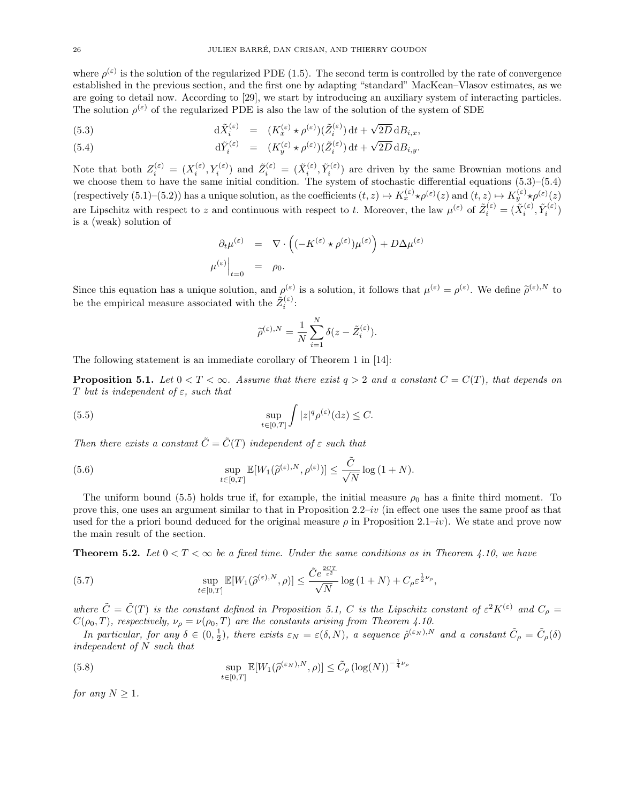where  $\rho^{(\varepsilon)}$  is the solution of the regularized PDE (1.5). The second term is controlled by the rate of convergence established in the previous section, and the first one by adapting "standard" MacKean–Vlasov estimates, as we are going to detail now. According to [29], we start by introducing an auxiliary system of interacting particles. The solution  $\rho^{(\varepsilon)}$  of the regularized PDE is also the law of the solution of the system of SDE

(5.3) 
$$
d\tilde{X}_i^{(\varepsilon)} = (K_x^{(\varepsilon)} \star \rho^{(\varepsilon)})(\tilde{Z}_i^{(\varepsilon)}) dt + \sqrt{2D} dB_{i,x},
$$

(5.4) 
$$
d\tilde{Y}_i^{(\varepsilon)} = (K_y^{(\varepsilon)} \star \rho^{(\varepsilon)})(\tilde{Z}_i^{(\varepsilon)}) dt + \sqrt{2D} dB_{i,y}.
$$

Note that both  $Z_i^{(\varepsilon)} = (X_i^{(\varepsilon)}, Y_i^{(\varepsilon)})$  and  $\tilde{Z}_i^{(\varepsilon)} = (\tilde{X}_i^{(\varepsilon)}, \tilde{Y}_i^{(\varepsilon)})$  are driven by the same Brownian motions and we choose them to have the same initial condition. The system of stochastic differential equations (5.3)–(5.4) (respectively  $(5.1)$ – $(5.2)$ ) has a unique solution, as the coefficients  $(t, z) \mapsto K_x^{(\varepsilon)} \star \rho^{(\varepsilon)}(z)$  and  $(t, z) \mapsto K_y^{(\varepsilon)} \star \rho^{(\varepsilon)}(z)$ are Lipschitz with respect to z and continuous with respect to t. Moreover, the law  $\mu^{(\varepsilon)}$  of  $\tilde{Z}_i^{(\varepsilon)} = (\tilde{X}_i^{(\varepsilon)}, \tilde{Y}_i^{(\varepsilon)})$ is a (weak) solution of

$$
\partial_t \mu^{(\varepsilon)} = \nabla \cdot \left( (-K^{(\varepsilon)} \star \rho^{(\varepsilon)}) \mu^{(\varepsilon)} \right) + D \Delta \mu^{(\varepsilon)}
$$

$$
\mu^{(\varepsilon)} \Big|_{t=0} = \rho_0.
$$

Since this equation has a unique solution, and  $\rho^{(\varepsilon)}$  is a solution, it follows that  $\mu^{(\varepsilon)} = \rho^{(\varepsilon)}$ . We define  $\tilde{\rho}^{(\varepsilon),N}$  to be the empirical measure associated with the  $\tilde{Z}_i^{(\varepsilon)}$ :

$$
\widetilde{\rho}^{(\varepsilon),N} = \frac{1}{N} \sum_{i=1}^{N} \delta(z - \tilde{Z}_{i}^{(\varepsilon)}).
$$

The following statement is an immediate corollary of Theorem 1 in [14]:

**Proposition 5.1.** Let  $0 < T < \infty$ . Assume that there exist  $q > 2$  and a constant  $C = C(T)$ , that depends on T but is independent of  $\varepsilon$ , such that

(5.5) 
$$
\sup_{t \in [0,T]} \int |z|^q \rho^{(\varepsilon)}(\mathrm{d} z) \leq C.
$$

Then there exists a constant  $\tilde{C} = \tilde{C}(T)$  independent of  $\varepsilon$  such that

(5.6) 
$$
\sup_{t\in[0,T]}\mathbb{E}[W_1(\widetilde{\rho}^{(\varepsilon),N},\rho^{(\varepsilon)})]\leq\frac{\tilde{C}}{\sqrt{N}}\log(1+N).
$$

The uniform bound (5.5) holds true if, for example, the initial measure  $\rho_0$  has a finite third moment. To prove this, one uses an argument similar to that in Proposition  $2.2-iv$  (in effect one uses the same proof as that used for the a priori bound deduced for the original measure  $\rho$  in Proposition 2.1–iv). We state and prove now the main result of the section.

**Theorem 5.2.** Let  $0 < T < \infty$  be a fixed time. Under the same conditions as in Theorem 4.10, we have

(5.7) 
$$
\sup_{t\in[0,T]}\mathbb{E}[W_1(\widehat{\rho}^{(\varepsilon),N},\rho)] \leq \frac{\tilde{C}e^{\frac{2C T}{\varepsilon^2}}}{\sqrt{N}}\log\left(1+N\right) + C_{\rho}\varepsilon^{\frac{1}{2}\nu_{\rho}},
$$

where  $\tilde{C} = \tilde{C}(T)$  is the constant defined in Proposition 5.1, C is the Lipschitz constant of  $\varepsilon^2 K^{(\varepsilon)}$  and  $C_\rho =$  $C(\rho_0, T)$ , respectively,  $\nu_{\rho} = \nu(\rho_0, T)$  are the constants arising from Theorem 4.10.

In particular, for any  $\delta \in (0, \frac{1}{2})$ , there exists  $\varepsilon_N = \varepsilon(\delta, N)$ , a sequence  $\hat{\rho}^{(\varepsilon_N),N}$  and a constant  $\tilde{C}_{\rho} = \tilde{C}_{\rho}(\delta)$  $independent\ of\ N\ such\ that$ 

(5.8) 
$$
\sup_{t \in [0,T]} \mathbb{E}[W_1(\hat{\rho}^{(\varepsilon_N),N},\rho)] \leq \tilde{C}_{\rho} (\log(N))^{-\frac{1}{4}\nu_{\rho}}
$$

for any  $N > 1$ .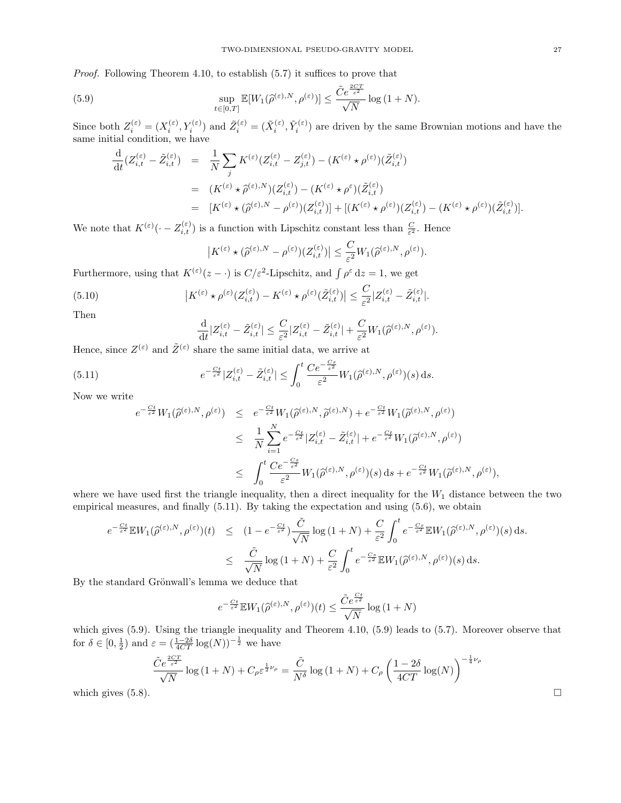Proof. Following Theorem 4.10, to establish (5.7) it suffices to prove that

(5.9) 
$$
\sup_{t\in[0,T]}\mathbb{E}[W_1(\widehat{\rho}^{(\varepsilon),N},\rho^{(\varepsilon)})] \leq \frac{\tilde{C}e^{\frac{2CT}{\varepsilon^2}}}{\sqrt{N}}\log(1+N).
$$

Since both  $Z_i^{(\varepsilon)} = (X_i^{(\varepsilon)}, Y_i^{(\varepsilon)})$  and  $\tilde{Z}_i^{(\varepsilon)} = (\tilde{X}_i^{(\varepsilon)}, \tilde{Y}_i^{(\varepsilon)})$  are driven by the same Brownian motions and have the same initial condition, we have

$$
\frac{d}{dt}(Z_{i,t}^{(\varepsilon)} - \tilde{Z}_{i,t}^{(\varepsilon)}) = \frac{1}{N} \sum_{j} K^{(\varepsilon)}(Z_{i,t}^{(\varepsilon)} - Z_{j,t}^{(\varepsilon)}) - (K^{(\varepsilon)} \star \rho^{(\varepsilon)})(\tilde{Z}_{i,t}^{(\varepsilon)}) \n= (K^{(\varepsilon)} \star \hat{\rho}^{(\varepsilon),N})(Z_{i,t}^{(\varepsilon)}) - (K^{(\varepsilon)} \star \rho^{\varepsilon})(\tilde{Z}_{i,t}^{(\varepsilon)}) \n= [K^{(\varepsilon)} \star (\hat{\rho}^{(\varepsilon),N} - \rho^{(\varepsilon)})(Z_{i,t}^{(\varepsilon)})] + [(K^{(\varepsilon)} \star \rho^{(\varepsilon)})(Z_{i,t}^{(\varepsilon)}) - (K^{(\varepsilon)} \star \rho^{(\varepsilon)})(\tilde{Z}_{i,t}^{(\varepsilon)})].
$$

We note that  $K^{(\varepsilon)}(\cdot - Z_{i,t}^{(\varepsilon)})$  is a function with Lipschitz constant less than  $\frac{C}{\varepsilon^2}$ . Hence

$$
\left|K^{(\varepsilon)}\star(\widehat{\rho}^{(\varepsilon),N}-\rho^{(\varepsilon)})(Z^{(\varepsilon)}_{i,t})\right|\leq \frac{C}{\varepsilon^2}W_1(\widehat{\rho}^{(\varepsilon),N},\rho^{(\varepsilon)}).
$$

Furthermore, using that  $K^{(\varepsilon)}(z-\cdot)$  is  $C/\varepsilon^2$ -Lipschitz, and  $\int \rho^{\varepsilon} dz = 1$ , we get

(5.10) 
$$
\left|K^{(\varepsilon)} \star \rho^{(\varepsilon)}(Z_{i,t}^{(\varepsilon)}) - K^{(\varepsilon)} \star \rho^{(\varepsilon)}(\tilde{Z}_{i,t}^{(\varepsilon)})\right| \leq \frac{C}{\varepsilon^2} |Z_{i,t}^{(\varepsilon)} - \tilde{Z}_{i,t}^{(\varepsilon)}|.
$$

Then

$$
\frac{\mathrm{d}}{\mathrm{d}t}|Z_{i,t}^{(\varepsilon)} - \tilde{Z}_{i,t}^{(\varepsilon)}| \leq \frac{C}{\varepsilon^2}|Z_{i,t}^{(\varepsilon)} - \tilde{Z}_{i,t}^{(\varepsilon)}| + \frac{C}{\varepsilon^2}W_1(\widehat{\rho}^{(\varepsilon),N},\rho^{(\varepsilon)}).
$$

Hence, since  $Z^{(\varepsilon)}$  and  $\tilde{Z}^{(\varepsilon)}$  share the same initial data, we arrive at

(5.11) 
$$
e^{-\frac{Ct}{\varepsilon^2}}|Z_{i,t}^{(\varepsilon)} - \tilde{Z}_{i,t}^{(\varepsilon)}| \leq \int_0^t \frac{Ce^{-\frac{Cs}{\varepsilon^2}}}{\varepsilon^2} W_1(\hat{\rho}^{(\varepsilon),N}, \rho^{(\varepsilon)})(s) ds.
$$

Now we write

$$
e^{-\frac{Ct}{\varepsilon^2}}W_1(\hat{\rho}^{(\varepsilon),N},\rho^{(\varepsilon)}) \leq e^{-\frac{Ct}{\varepsilon^2}}W_1(\hat{\rho}^{(\varepsilon),N},\tilde{\rho}^{(\varepsilon),N}) + e^{-\frac{Ct}{\varepsilon^2}}W_1(\tilde{\rho}^{(\varepsilon),N},\rho^{(\varepsilon)})
$$
  

$$
\leq \frac{1}{N}\sum_{i=1}^N e^{-\frac{Ct}{\varepsilon^2}}|Z_{i,t}^{(\varepsilon)} - \tilde{Z}_{i,t}^{(\varepsilon)}| + e^{-\frac{Ct}{\varepsilon^2}}W_1(\tilde{\rho}^{(\varepsilon),N},\rho^{(\varepsilon)})
$$
  

$$
\leq \int_0^t \frac{Ce^{-\frac{Cs}{\varepsilon^2}}}{\varepsilon^2}W_1(\hat{\rho}^{(\varepsilon),N},\rho^{(\varepsilon)})(s) ds + e^{-\frac{Ct}{\varepsilon^2}}W_1(\tilde{\rho}^{(\varepsilon),N},\rho^{(\varepsilon)}),
$$

where we have used first the triangle inequality, then a direct inequality for the  $W_1$  distance between the two empirical measures, and finally (5.11). By taking the expectation and using (5.6), we obtain

$$
e^{-\frac{Ct}{\varepsilon^2}} \mathbb{E} W_1(\hat{\rho}^{(\varepsilon),N},\rho^{(\varepsilon)})(t) \leq (1 - e^{-\frac{Ct}{\varepsilon^2}}) \frac{\tilde{C}}{\sqrt{N}} \log(1+N) + \frac{C}{\varepsilon^2} \int_0^t e^{-\frac{Cs}{\varepsilon^2}} \mathbb{E} W_1(\hat{\rho}^{(\varepsilon),N},\rho^{(\varepsilon)})(s) ds.
$$
  

$$
\leq \frac{\tilde{C}}{\sqrt{N}} \log(1+N) + \frac{C}{\varepsilon^2} \int_0^t e^{-\frac{Cs}{\varepsilon^2}} \mathbb{E} W_1(\hat{\rho}^{(\varepsilon),N},\rho^{(\varepsilon)})(s) ds.
$$

By the standard Grönwall's lemma we deduce that

$$
e^{-\frac{Ct}{\varepsilon^2}}\mathbb E W_1(\widehat \rho^{(\varepsilon),N},\rho^{(\varepsilon)})(t)\leq \frac{\tilde C e^{\frac{Ct}{\varepsilon^2}}}{\sqrt{N}}\log{(1+N)}
$$

which gives  $(5.9)$ . Using the triangle inequality and Theorem 4.10,  $(5.9)$  leads to  $(5.7)$ . Moreover observe that for  $\delta \in [0, \frac{1}{2})$  and  $\varepsilon = (\frac{1-2\delta}{4CT} \log(N))^{-\frac{1}{2}}$  we have

$$
\frac{\tilde{C}e^{\frac{2CT}{\varepsilon^2}}}{\sqrt{N}}\log\left(1+N\right) + C_{\rho}\varepsilon^{\frac{1}{2}\nu_{\rho}} = \frac{\tilde{C}}{N^{\delta}}\log\left(1+N\right) + C_{\rho}\left(\frac{1-2\delta}{4CT}\log(N)\right)^{-\frac{1}{4}\nu_{\rho}}
$$
\nwhich gives (5.8).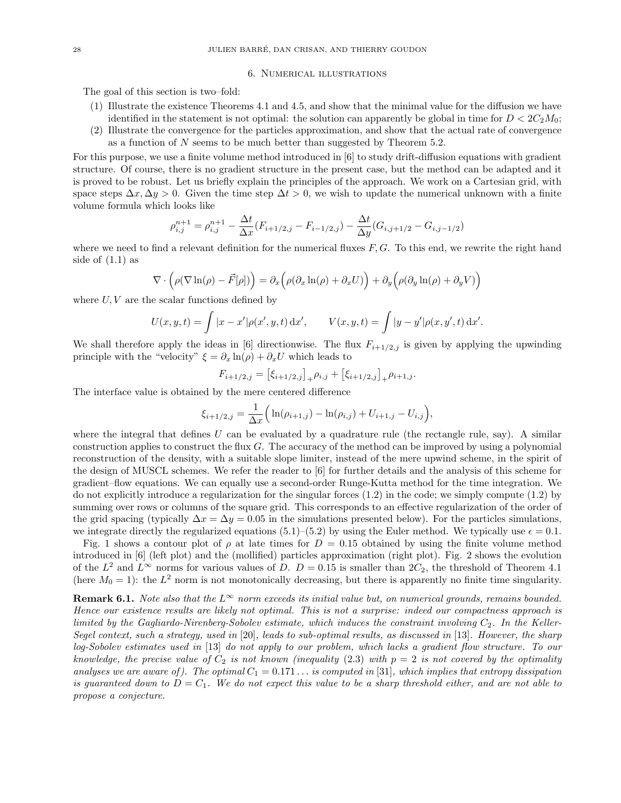#### 6. Numerical illustrations

The goal of this section is two–fold:

- (1) Illustrate the existence Theorems 4.1 and 4.5, and show that the minimal value for the diffusion we have identified in the statement is not optimal: the solution can apparently be global in time for  $D < 2C_2M_0$ ;
- (2) Illustrate the convergence for the particles approximation, and show that the actual rate of convergence as a function of N seems to be much better than suggested by Theorem 5.2.

For this purpose, we use a finite volume method introduced in [6] to study drift-diffusion equations with gradient structure. Of course, there is no gradient structure in the present case, but the method can be adapted and it is proved to be robust. Let us briefly explain the principles of the approach. We work on a Cartesian grid, with space steps  $\Delta x, \Delta y > 0$ . Given the time step  $\Delta t > 0$ , we wish to update the numerical unknown with a finite volume formula which looks like

$$
\rho_{i,j}^{n+1} = \rho_{i,j}^{n+1} - \frac{\Delta t}{\Delta x} (F_{i+1/2,j} - F_{i-1/2,j}) - \frac{\Delta t}{\Delta y} (G_{i,j+1/2} - G_{i,j-1/2})
$$

where we need to find a relevant definition for the numerical fluxes  $F, G$ . To this end, we rewrite the right hand side of  $(1.1)$  as

$$
\nabla \cdot \left( \rho (\nabla \ln(\rho) - \vec{F}[\rho]) \right) = \partial_x \left( \rho (\partial_x \ln(\rho) + \partial_x U) \right) + \partial_y \left( \rho (\partial_y \ln(\rho) + \partial_y V) \right)
$$

where  $U, V$  are the scalar functions defined by

$$
U(x, y, t) = \int |x - x'| \rho(x', y, t) dx', \qquad V(x, y, t) = \int |y - y'| \rho(x, y', t) dx'.
$$

We shall therefore apply the ideas in [6] directionwise. The flux  $F_{i+1/2,j}$  is given by applying the upwinding principle with the "velocity"  $\xi = \partial_x \ln(\rho) + \partial_x U$  which leads to

$$
F_{i+1/2,j} = [\xi_{i+1/2,j}]_{+} \rho_{i,j} + [\xi_{i+1/2,j}]_{+} \rho_{i+1,j}.
$$

The interface value is obtained by the mere centered difference

$$
\xi_{i+1/2,j} = \frac{1}{\Delta x} \Big( \ln(\rho_{i+1,j}) - \ln(\rho_{i,j}) + U_{i+1,j} - U_{i,j} \Big),
$$

where the integral that defines  $U$  can be evaluated by a quadrature rule (the rectangle rule, say). A similar construction applies to construct the flux G. The accuracy of the method can be improved by using a polynomial reconstruction of the density, with a suitable slope limiter, instead of the mere upwind scheme, in the spirit of the design of MUSCL schemes. We refer the reader to [6] for further details and the analysis of this scheme for gradient–flow equations. We can equally use a second-order Runge-Kutta method for the time integration. We do not explicitly introduce a regularization for the singular forces (1.2) in the code; we simply compute (1.2) by summing over rows or columns of the square grid. This corresponds to an effective regularization of the order of the grid spacing (typically  $\Delta x = \Delta y = 0.05$  in the simulations presented below). For the particles simulations, we integrate directly the regularized equations (5.1)–(5.2) by using the Euler method. We typically use  $\epsilon = 0.1$ .

Fig. 1 shows a contour plot of  $\rho$  at late times for  $D = 0.15$  obtained by using the finite volume method introduced in [6] (left plot) and the (mollified) particles approximation (right plot). Fig. 2 shows the evolution of the  $L^2$  and  $L^{\infty}$  norms for various values of D.  $D = 0.15$  is smaller than  $2C_2$ , the threshold of Theorem 4.1 (here  $M_0 = 1$ ): the  $L^2$  norm is not monotonically decreasing, but there is apparently no finite time singularity.

**Remark 6.1.** Note also that the  $L^{\infty}$  norm exceeds its initial value but, on numerical grounds, remains bounded. Hence our existence results are likely not optimal. This is not a surprise: indeed our compactness approach is limited by the Gagliardo-Nirenberg-Sobolev estimate, which induces the constraint involving  $C_2$ . In the Keller-Segel context, such a strategy, used in [20], leads to sub-optimal results, as discussed in [13]. However, the sharp log-Sobolev estimates used in [13] do not apply to our problem, which lacks a gradient flow structure. To our knowledge, the precise value of  $C_2$  is not known (inequality (2.3) with  $p = 2$  is not covered by the optimality analyses we are aware of). The optimal  $C_1 = 0.171...$  is computed in [31], which implies that entropy dissipation is guaranteed down to  $D = C_1$ . We do not expect this value to be a sharp threshold either, and are not able to propose a conjecture.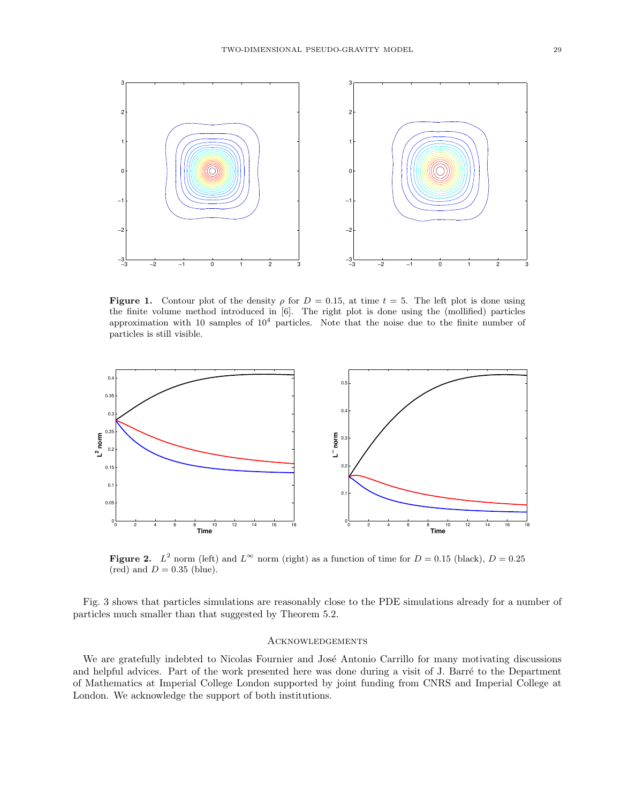

Figure 1. Contour plot of the density  $\rho$  for  $D = 0.15$ , at time  $t = 5$ . The left plot is done using the finite volume method introduced in [6]. The right plot is done using the (mollified) particles approximation with 10 samples of  $10<sup>4</sup>$  particles. Note that the noise due to the finite number of particles is still visible.



**Figure 2.**  $L^2$  norm (left) and  $L^{\infty}$  norm (right) as a function of time for  $D = 0.15$  (black),  $D = 0.25$ (red) and  $D = 0.35$  (blue).

Fig. 3 shows that particles simulations are reasonably close to the PDE simulations already for a number of particles much smaller than that suggested by Theorem 5.2.

## **ACKNOWLEDGEMENTS**

We are gratefully indebted to Nicolas Fournier and José Antonio Carrillo for many motivating discussions and helpful advices. Part of the work presented here was done during a visit of J. Barré to the Department of Mathematics at Imperial College London supported by joint funding from CNRS and Imperial College at London. We acknowledge the support of both institutions.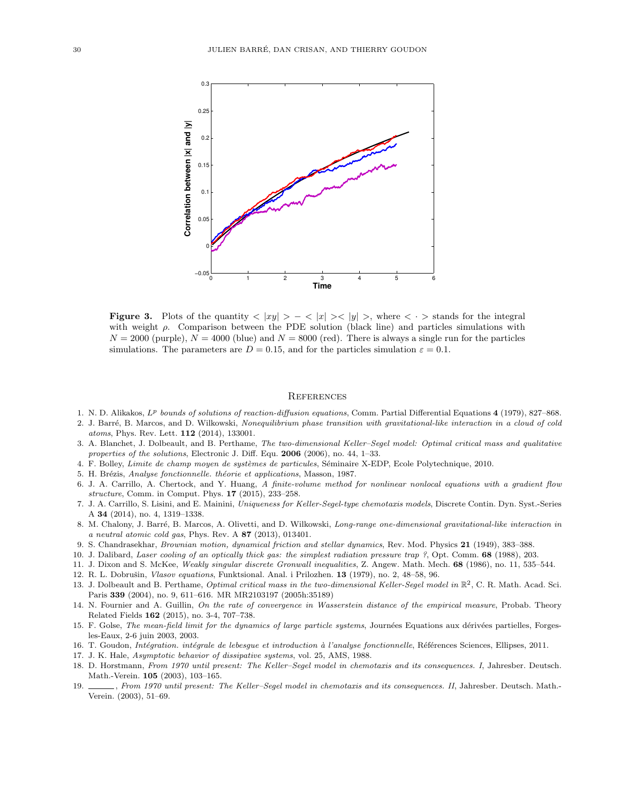

**Figure 3.** Plots of the quantity  $\langle |xy| \rangle - \langle |x| \rangle \langle |y| \rangle$ , where  $\langle \cdot \rangle$  stands for the integral with weight  $\rho$ . Comparison between the PDE solution (black line) and particles simulations with  $N = 2000$  (purple),  $N = 4000$  (blue) and  $N = 8000$  (red). There is always a single run for the particles simulations. The parameters are  $D = 0.15$ , and for the particles simulation  $\varepsilon = 0.1$ .

#### **REFERENCES**

- 1. N. D. Alikakos,  $L^p$  bounds of solutions of reaction-diffusion equations, Comm. Partial Differential Equations 4 (1979), 827–868.
- 2. J. Barré, B. Marcos, and D. Wilkowski, Nonequilibrium phase transition with gravitational-like interaction in a cloud of cold atoms, Phys. Rev. Lett. 112 (2014), 133001.
- 3. A. Blanchet, J. Dolbeault, and B. Perthame, The two-dimensional Keller–Segel model: Optimal critical mass and qualitative properties of the solutions, Electronic J. Diff. Equ. 2006 (2006), no. 44, 1-33.
- 4. F. Bolley, Limite de champ moyen de systèmes de particules, Séminaire X-EDP, Ecole Polytechnique, 2010.
- 5. H. Brézis, Analyse fonctionnelle. théorie et applications, Masson, 1987.
- 6. J. A. Carrillo, A. Chertock, and Y. Huang, A finite-volume method for nonlinear nonlocal equations with a gradient flow structure, Comm. in Comput. Phys. 17 (2015), 233–258.
- 7. J. A. Carrillo, S. Lisini, and E. Mainini, Uniqueness for Keller-Segel-type chemotaxis models, Discrete Contin. Dyn. Syst.-Series A 34 (2014), no. 4, 1319–1338.
- 8. M. Chalony, J. Barré, B. Marcos, A. Olivetti, and D. Wilkowski, Long-range one-dimensional gravitational-like interaction in a neutral atomic cold gas, Phys. Rev. A 87 (2013), 013401.
- 9. S. Chandrasekhar, Brownian motion, dynamical friction and stellar dynamics, Rev. Mod. Physics 21 (1949), 383–388.
- 10. J. Dalibard, Laser cooling of an optically thick gas: the simplest radiation pressure trap ?, Opt. Comm. 68 (1988), 203.
- 11. J. Dixon and S. McKee, Weakly singular discrete Gronwall inequalities, Z. Angew. Math. Mech. 68 (1986), no. 11, 535–544.
- 12. R. L. Dobrušin, Vlasov equations, Funktsional. Anal. i Prilozhen. 13 (1979), no. 2, 48-58, 96.
- 13. J. Dolbeault and B. Perthame, Optimal critical mass in the two-dimensional Keller-Segel model in  $\mathbb{R}^2$ , C. R. Math. Acad. Sci. Paris 339 (2004), no. 9, 611-616. MR MR2103197 (2005h:35189)
- 14. N. Fournier and A. Guillin, On the rate of convergence in Wasserstein distance of the empirical measure, Probab. Theory Related Fields 162 (2015), no. 3-4, 707–738.
- 15. F. Golse, The mean-field limit for the dynamics of large particle systems, Journées Equations aux dérivées partielles, Forgesles-Eaux, 2-6 juin 2003, 2003.
- 16. T. Goudon, Intégration. intégrale de lebesgue et introduction à l'analyse fonctionnelle, Références Sciences, Ellipses, 2011.
- 17. J. K. Hale, Asymptotic behavior of dissipative systems, vol. 25, AMS, 1988.
- 18. D. Horstmann, From 1970 until present: The Keller–Segel model in chemotaxis and its consequences. I, Jahresber. Deutsch. Math.-Verein. 105 (2003), 103–165.
- 19. , From 1970 until present: The Keller–Segel model in chemotaxis and its consequences. II, Jahresber. Deutsch. Math.- Verein. (2003), 51–69.